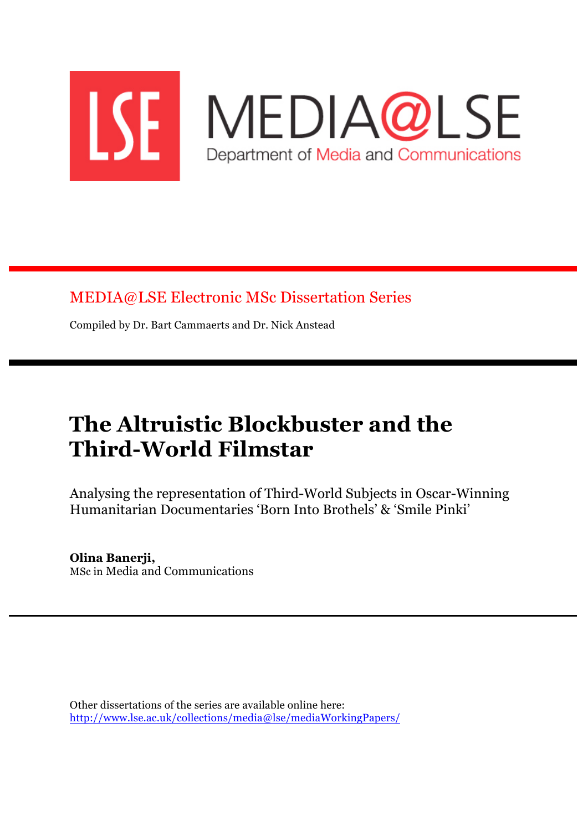

MEDIA@LSE Electronic MSc Dissertation Series

Compiled by Dr. Bart Cammaerts and Dr. Nick Anstead

# **The Altruistic Blockbuster and the Third-World Filmstar**

Analysing the representation of Third-World Subjects in Oscar-Winning Humanitarian Documentaries 'Born Into Brothels' & 'Smile Pinki'

### **Olina Banerji,**

MSc in Media and Communications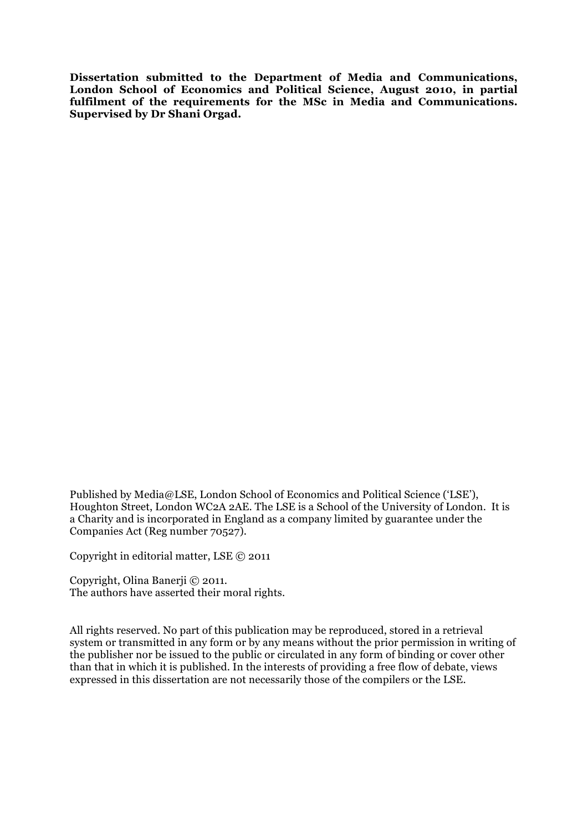**Dissertation submitted to the Department of Media and Communications, London School of Economics and Political Science, August 2010, in partial fulfilment of the requirements for the MSc in Media and Communications. Supervised by Dr Shani Orgad.**

Published by Media@LSE, London School of Economics and Political Science ('LSE'), Houghton Street, London WC2A 2AE. The LSE is a School of the University of London. It is a Charity and is incorporated in England as a company limited by guarantee under the Companies Act (Reg number 70527).

Copyright in editorial matter, LSE © 2011

Copyright, Olina Banerji © 2011. The authors have asserted their moral rights.

All rights reserved. No part of this publication may be reproduced, stored in a retrieval system or transmitted in any form or by any means without the prior permission in writing of the publisher nor be issued to the public or circulated in any form of binding or cover other than that in which it is published. In the interests of providing a free flow of debate, views expressed in this dissertation are not necessarily those of the compilers or the LSE.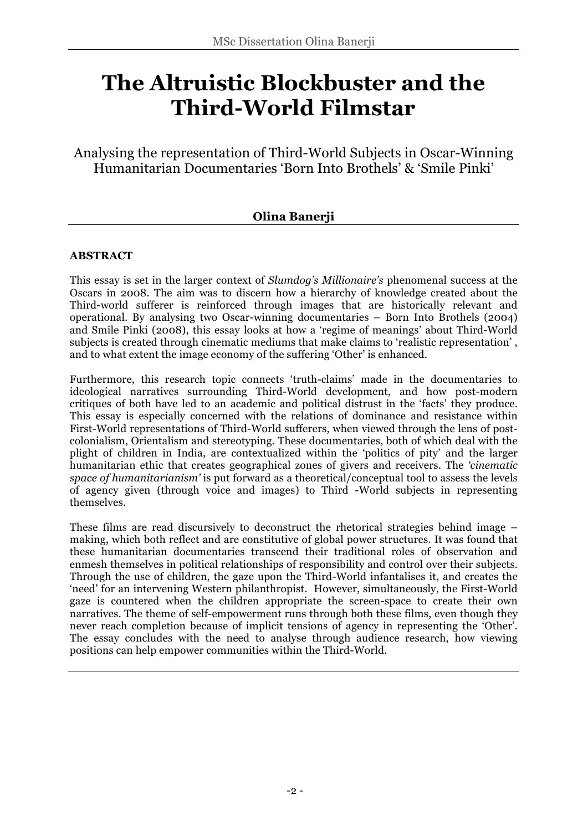## **The Altruistic Blockbuster and the Third-World Filmstar**

Analysing the representation of Third-World Subjects in Oscar-Winning Humanitarian Documentaries 'Born Into Brothels' & 'Smile Pinki'

### **Olina Banerji**

#### **ABSTRACT**

This essay is set in the larger context of *Slumdog's Millionaire's* phenomenal success at the Oscars in 2008. The aim was to discern how a hierarchy of knowledge created about the Third-world sufferer is reinforced through images that are historically relevant and operational. By analysing two Oscar-winning documentaries – Born Into Brothels (2004) and Smile Pinki (2008), this essay looks at how a 'regime of meanings' about Third-World subjects is created through cinematic mediums that make claims to 'realistic representation' , and to what extent the image economy of the suffering 'Other' is enhanced.

Furthermore, this research topic connects 'truth-claims' made in the documentaries to ideological narratives surrounding Third-World development, and how post-modern critiques of both have led to an academic and political distrust in the 'facts' they produce. This essay is especially concerned with the relations of dominance and resistance within First-World representations of Third-World sufferers, when viewed through the lens of postcolonialism, Orientalism and stereotyping. These documentaries, both of which deal with the plight of children in India, are contextualized within the 'politics of pity' and the larger humanitarian ethic that creates geographical zones of givers and receivers. The *'cinematic space of humanitarianism'* is put forward as a theoretical/conceptual tool to assess the levels of agency given (through voice and images) to Third -World subjects in representing themselves.

These films are read discursively to deconstruct the rhetorical strategies behind image – making, which both reflect and are constitutive of global power structures. It was found that these humanitarian documentaries transcend their traditional roles of observation and enmesh themselves in political relationships of responsibility and control over their subjects. Through the use of children, the gaze upon the Third-World infantalises it, and creates the 'need' for an intervening Western philanthropist. However, simultaneously, the First-World gaze is countered when the children appropriate the screen-space to create their own narratives. The theme of self-empowerment runs through both these films, even though they never reach completion because of implicit tensions of agency in representing the 'Other'. The essay concludes with the need to analyse through audience research, how viewing positions can help empower communities within the Third-World.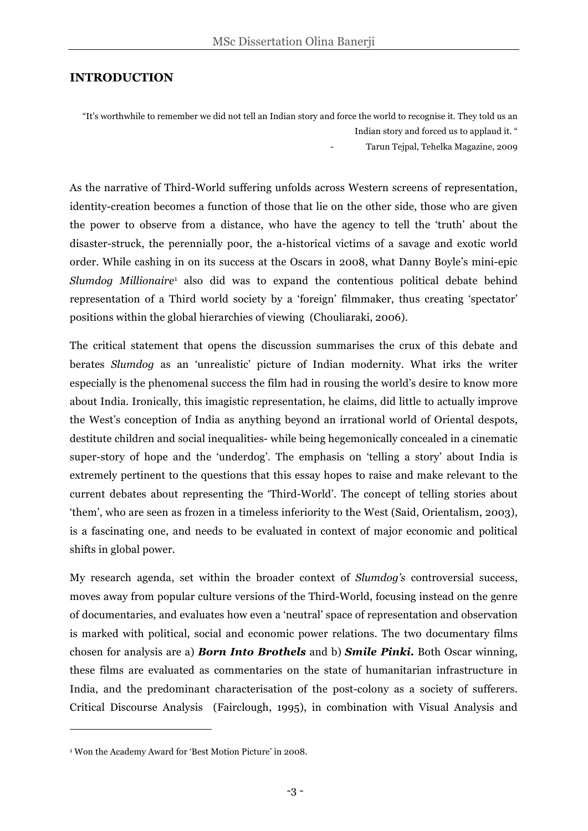#### **INTRODUCTION**

"It's worthwhile to remember we did not tell an Indian story and force the world to recognise it. They told us an

Indian story and forced us to applaud it. "

- Tarun Tejpal, Tehelka Magazine, 2009

As the narrative of Third-World suffering unfolds across Western screens of representation, identity-creation becomes a function of those that lie on the other side, those who are given the power to observe from a distance, who have the agency to tell the 'truth' about the disaster-struck, the perennially poor, the a-historical victims of a savage and exotic world order. While cashing in on its success at the Oscars in 2008, what Danny Boyle's mini-epic *Slumdog Millionaire*<sup>1</sup> also did was to expand the contentious political debate behind representation of a Third world society by a 'foreign' filmmaker, thus creating 'spectator' positions within the global hierarchies of viewing (Chouliaraki, 2006).

The critical statement that opens the discussion summarises the crux of this debate and berates *Slumdog* as an 'unrealistic' picture of Indian modernity. What irks the writer especially is the phenomenal success the film had in rousing the world's desire to know more about India. Ironically, this imagistic representation, he claims, did little to actually improve the West's conception of India as anything beyond an irrational world of Oriental despots, destitute children and social inequalities- while being hegemonically concealed in a cinematic super-story of hope and the 'underdog'. The emphasis on 'telling a story' about India is extremely pertinent to the questions that this essay hopes to raise and make relevant to the current debates about representing the 'Third-World'. The concept of telling stories about 'them', who are seen as frozen in a timeless inferiority to the West (Said, Orientalism, 2003), is a fascinating one, and needs to be evaluated in context of major economic and political shifts in global power.

My research agenda, set within the broader context of *Slumdog's* controversial success, moves away from popular culture versions of the Third-World, focusing instead on the genre of documentaries, and evaluates how even a 'neutral' space of representation and observation is marked with political, social and economic power relations. The two documentary films chosen for analysis are a) *Born Into Brothels* and b) *Smile Pinki.* Both Oscar winning, these films are evaluated as commentaries on the state of humanitarian infrastructure in India, and the predominant characterisation of the post-colony as a society of sufferers. Critical Discourse Analysis (Fairclough, 1995), in combination with Visual Analysis and

 $\overline{a}$ 

<sup>1</sup> Won the Academy Award for 'Best Motion Picture' in 2008.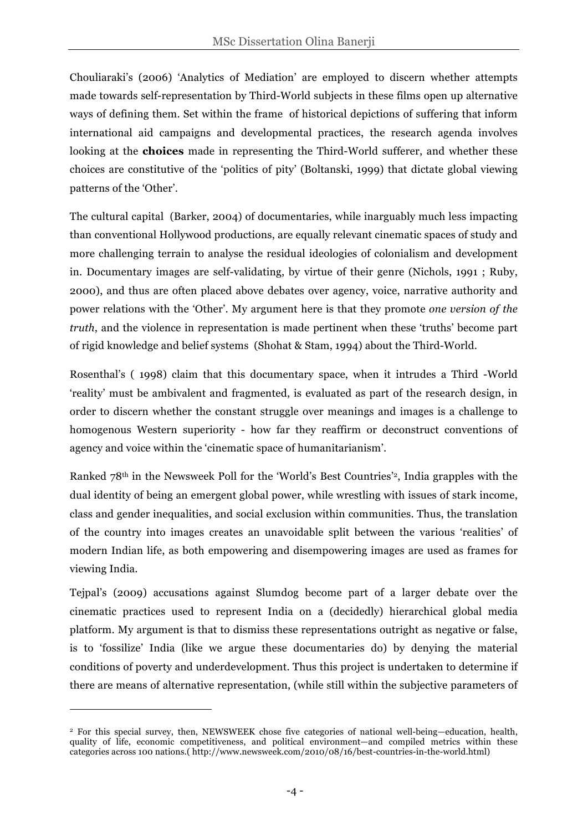Chouliaraki's (2006) 'Analytics of Mediation' are employed to discern whether attempts made towards self-representation by Third-World subjects in these films open up alternative ways of defining them. Set within the frame of historical depictions of suffering that inform international aid campaigns and developmental practices, the research agenda involves looking at the **choices** made in representing the Third-World sufferer, and whether these choices are constitutive of the 'politics of pity' (Boltanski, 1999) that dictate global viewing patterns of the 'Other'.

The cultural capital (Barker, 2004) of documentaries, while inarguably much less impacting than conventional Hollywood productions, are equally relevant cinematic spaces of study and more challenging terrain to analyse the residual ideologies of colonialism and development in. Documentary images are self-validating, by virtue of their genre (Nichols, 1991 ; Ruby, 2000), and thus are often placed above debates over agency, voice, narrative authority and power relations with the 'Other'. My argument here is that they promote *one version of the truth*, and the violence in representation is made pertinent when these 'truths' become part of rigid knowledge and belief systems (Shohat & Stam, 1994) about the Third-World.

Rosenthal's ( 1998) claim that this documentary space, when it intrudes a Third -World 'reality' must be ambivalent and fragmented, is evaluated as part of the research design, in order to discern whether the constant struggle over meanings and images is a challenge to homogenous Western superiority - how far they reaffirm or deconstruct conventions of agency and voice within the 'cinematic space of humanitarianism'.

Ranked 78th in the Newsweek Poll for the 'World's Best Countries'2, India grapples with the dual identity of being an emergent global power, while wrestling with issues of stark income, class and gender inequalities, and social exclusion within communities. Thus, the translation of the country into images creates an unavoidable split between the various 'realities' of modern Indian life, as both empowering and disempowering images are used as frames for viewing India.

Tejpal's (2009) accusations against Slumdog become part of a larger debate over the cinematic practices used to represent India on a (decidedly) hierarchical global media platform. My argument is that to dismiss these representations outright as negative or false, is to 'fossilize' India (like we argue these documentaries do) by denying the material conditions of poverty and underdevelopment. Thus this project is undertaken to determine if there are means of alternative representation, (while still within the subjective parameters of

 $\overline{a}$ 

<sup>2</sup> For this special survey, then, NEWSWEEK chose five categories of national well-being—education, health, quality of life, economic competitiveness, and political environment—and compiled metrics within these categories across 100 nations.( http://www.newsweek.com/2010/08/16/best-countries-in-the-world.html)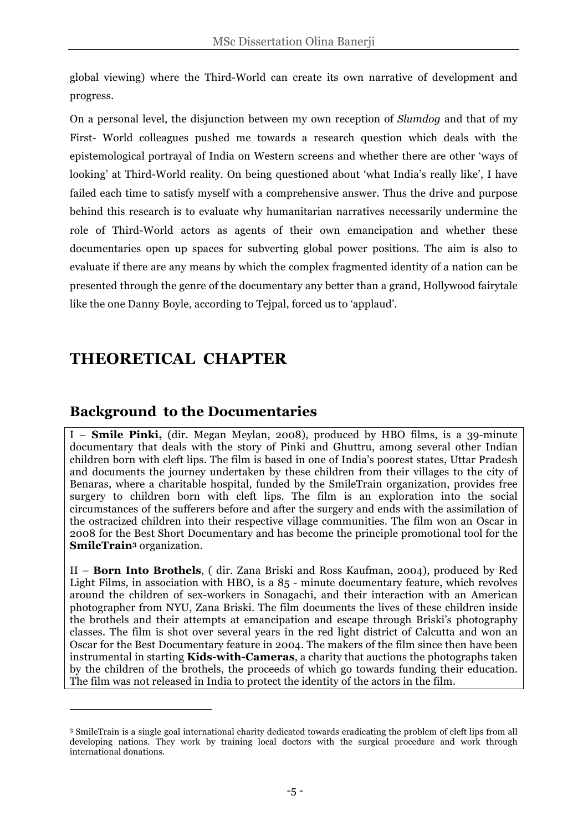global viewing) where the Third-World can create its own narrative of development and progress.

On a personal level, the disjunction between my own reception of *Slumdog* and that of my First- World colleagues pushed me towards a research question which deals with the epistemological portrayal of India on Western screens and whether there are other 'ways of looking' at Third-World reality. On being questioned about 'what India's really like', I have failed each time to satisfy myself with a comprehensive answer. Thus the drive and purpose behind this research is to evaluate why humanitarian narratives necessarily undermine the role of Third-World actors as agents of their own emancipation and whether these documentaries open up spaces for subverting global power positions. The aim is also to evaluate if there are any means by which the complex fragmented identity of a nation can be presented through the genre of the documentary any better than a grand, Hollywood fairytale like the one Danny Boyle, according to Tejpal, forced us to 'applaud'.

## **THEORETICAL CHAPTER**

 $\overline{a}$ 

### **Background to the Documentaries**

I – **Smile Pinki,** (dir. Megan Meylan, 2008), produced by HBO films, is a 39-minute documentary that deals with the story of Pinki and Ghuttru, among several other Indian children born with cleft lips. The film is based in one of India's poorest states, Uttar Pradesh and documents the journey undertaken by these children from their villages to the city of Benaras, where a charitable hospital, funded by the SmileTrain organization, provides free surgery to children born with cleft lips. The film is an exploration into the social circumstances of the sufferers before and after the surgery and ends with the assimilation of the ostracized children into their respective village communities. The film won an Oscar in 2008 for the Best Short Documentary and has become the principle promotional tool for the **SmileTrain3** organization.

II – **Born Into Brothels**, ( dir. Zana Briski and Ross Kaufman, 2004), produced by Red Light Films, in association with HBO, is a 85 - minute documentary feature, which revolves around the children of sex-workers in Sonagachi, and their interaction with an American photographer from NYU, Zana Briski. The film documents the lives of these children inside the brothels and their attempts at emancipation and escape through Briski's photography classes. The film is shot over several years in the red light district of Calcutta and won an Oscar for the Best Documentary feature in 2004. The makers of the film since then have been instrumental in starting **Kids-with-Cameras**, a charity that auctions the photographs taken by the children of the brothels, the proceeds of which go towards funding their education. The film was not released in India to protect the identity of the actors in the film.

<sup>3</sup> SmileTrain is a single goal international charity dedicated towards eradicating the problem of cleft lips from all developing nations. They work by training local doctors with the surgical procedure and work through international donations.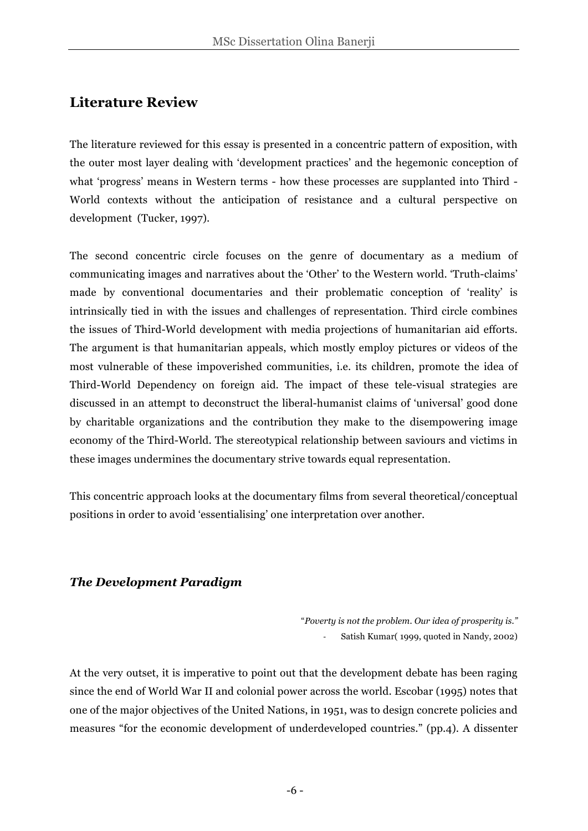### **Literature Review**

The literature reviewed for this essay is presented in a concentric pattern of exposition, with the outer most layer dealing with 'development practices' and the hegemonic conception of what 'progress' means in Western terms - how these processes are supplanted into Third - World contexts without the anticipation of resistance and a cultural perspective on development (Tucker, 1997).

The second concentric circle focuses on the genre of documentary as a medium of communicating images and narratives about the 'Other' to the Western world. 'Truth-claims' made by conventional documentaries and their problematic conception of 'reality' is intrinsically tied in with the issues and challenges of representation. Third circle combines the issues of Third-World development with media projections of humanitarian aid efforts. The argument is that humanitarian appeals, which mostly employ pictures or videos of the most vulnerable of these impoverished communities, i.e. its children, promote the idea of Third-World Dependency on foreign aid. The impact of these tele-visual strategies are discussed in an attempt to deconstruct the liberal-humanist claims of 'universal' good done by charitable organizations and the contribution they make to the disempowering image economy of the Third-World. The stereotypical relationship between saviours and victims in these images undermines the documentary strive towards equal representation.

This concentric approach looks at the documentary films from several theoretical/conceptual positions in order to avoid 'essentialising' one interpretation over another.

### *The Development Paradigm*

"*Poverty is not the problem. Our idea of prosperity is."* Satish Kumar( 1999, quoted in Nandy, 2002)

At the very outset, it is imperative to point out that the development debate has been raging since the end of World War II and colonial power across the world. Escobar (1995) notes that one of the major objectives of the United Nations, in 1951, was to design concrete policies and measures "for the economic development of underdeveloped countries." (pp.4). A dissenter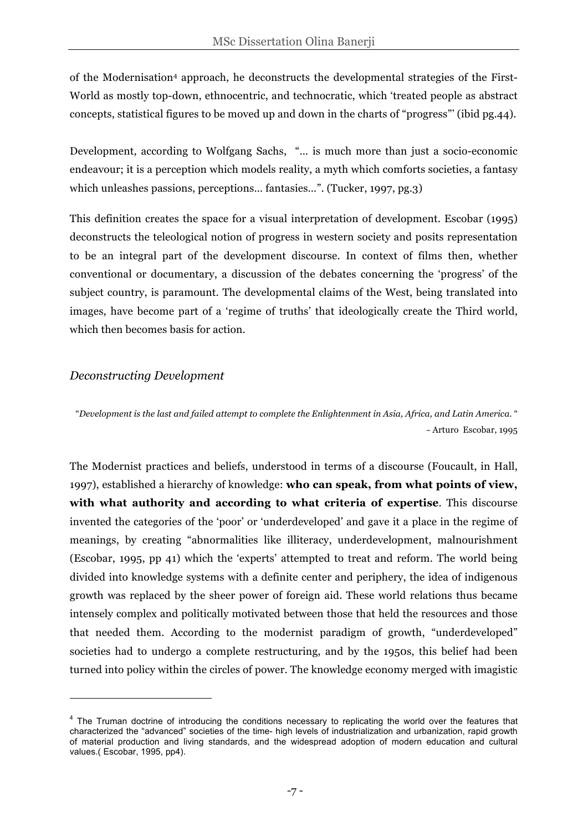of the Modernisation4 approach, he deconstructs the developmental strategies of the First-World as mostly top-down, ethnocentric, and technocratic, which 'treated people as abstract concepts, statistical figures to be moved up and down in the charts of "progress"' (ibid pg.44).

Development, according to Wolfgang Sachs, "… is much more than just a socio-economic endeavour; it is a perception which models reality, a myth which comforts societies, a fantasy which unleashes passions, perceptions… fantasies…". (Tucker, 1997, pg.3)

This definition creates the space for a visual interpretation of development. Escobar (1995) deconstructs the teleological notion of progress in western society and posits representation to be an integral part of the development discourse. In context of films then, whether conventional or documentary, a discussion of the debates concerning the 'progress' of the subject country, is paramount. The developmental claims of the West, being translated into images, have become part of a 'regime of truths' that ideologically create the Third world, which then becomes basis for action.

#### *Deconstructing Development*

 $\overline{a}$ 

"*Development is the last and failed attempt to complete the Enlightenment in Asia, Africa, and Latin America*. " – Arturo Escobar, 1995

The Modernist practices and beliefs, understood in terms of a discourse (Foucault, in Hall, 1997), established a hierarchy of knowledge: **who can speak, from what points of view, with what authority and according to what criteria of expertise**. This discourse invented the categories of the 'poor' or 'underdeveloped' and gave it a place in the regime of meanings, by creating "abnormalities like illiteracy, underdevelopment, malnourishment (Escobar, 1995, pp 41) which the 'experts' attempted to treat and reform. The world being divided into knowledge systems with a definite center and periphery, the idea of indigenous growth was replaced by the sheer power of foreign aid. These world relations thus became intensely complex and politically motivated between those that held the resources and those that needed them. According to the modernist paradigm of growth, "underdeveloped" societies had to undergo a complete restructuring, and by the 1950s, this belief had been turned into policy within the circles of power. The knowledge economy merged with imagistic

<sup>&</sup>lt;sup>4</sup> The Truman doctrine of introducing the conditions necessary to replicating the world over the features that characterized the "advanced" societies of the time- high levels of industrialization and urbanization, rapid growth of material production and living standards, and the widespread adoption of modern education and cultural values.( Escobar, 1995, pp4).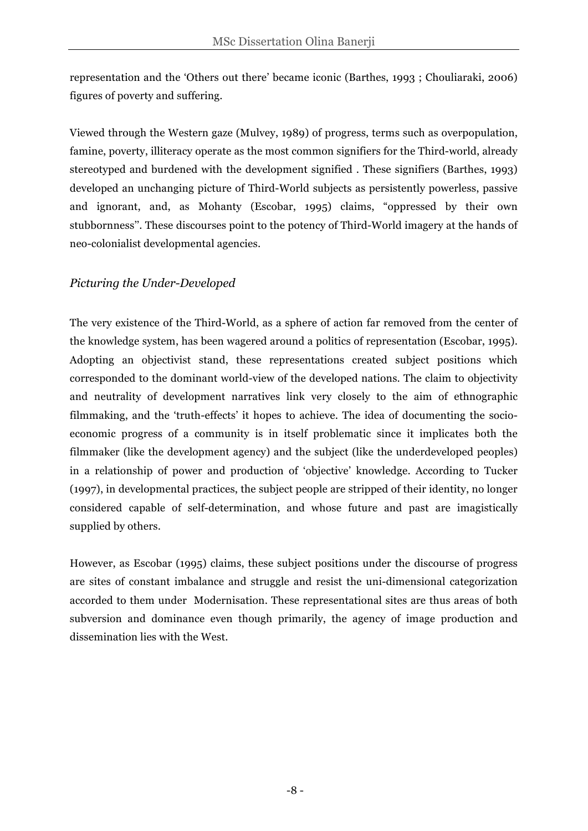representation and the 'Others out there' became iconic (Barthes, 1993 ; Chouliaraki, 2006) figures of poverty and suffering.

Viewed through the Western gaze (Mulvey, 1989) of progress, terms such as overpopulation, famine, poverty, illiteracy operate as the most common signifiers for the Third-world, already stereotyped and burdened with the development signified . These signifiers (Barthes, 1993) developed an unchanging picture of Third-World subjects as persistently powerless, passive and ignorant, and, as Mohanty (Escobar, 1995) claims, "oppressed by their own stubbornness''. These discourses point to the potency of Third-World imagery at the hands of neo-colonialist developmental agencies.

### *Picturing the Under-Developed*

The very existence of the Third-World, as a sphere of action far removed from the center of the knowledge system, has been wagered around a politics of representation (Escobar, 1995). Adopting an objectivist stand, these representations created subject positions which corresponded to the dominant world-view of the developed nations. The claim to objectivity and neutrality of development narratives link very closely to the aim of ethnographic filmmaking, and the 'truth-effects' it hopes to achieve. The idea of documenting the socioeconomic progress of a community is in itself problematic since it implicates both the filmmaker (like the development agency) and the subject (like the underdeveloped peoples) in a relationship of power and production of 'objective' knowledge. According to Tucker (1997), in developmental practices, the subject people are stripped of their identity, no longer considered capable of self-determination, and whose future and past are imagistically supplied by others.

However, as Escobar (1995) claims, these subject positions under the discourse of progress are sites of constant imbalance and struggle and resist the uni-dimensional categorization accorded to them under Modernisation. These representational sites are thus areas of both subversion and dominance even though primarily, the agency of image production and dissemination lies with the West.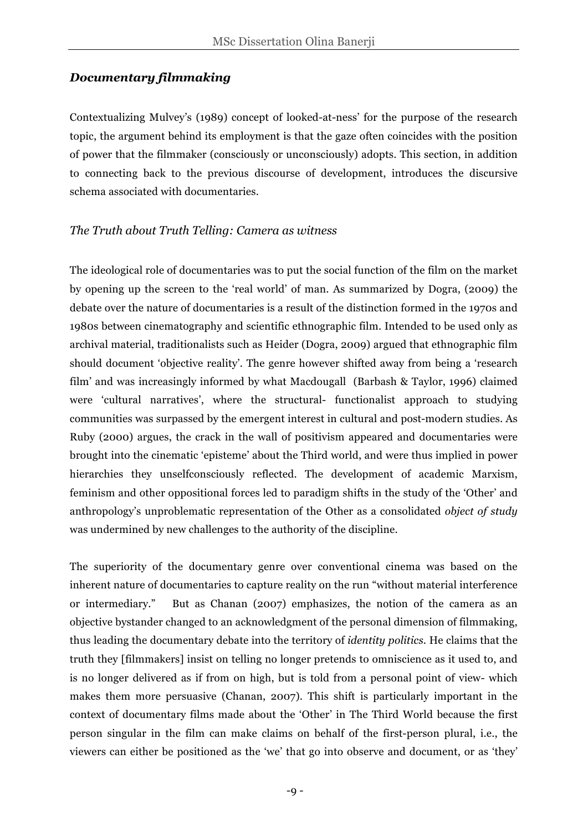#### *Documentary filmmaking*

Contextualizing Mulvey's (1989) concept of looked-at-ness' for the purpose of the research topic, the argument behind its employment is that the gaze often coincides with the position of power that the filmmaker (consciously or unconsciously) adopts. This section, in addition to connecting back to the previous discourse of development, introduces the discursive schema associated with documentaries.

#### *The Truth about Truth Telling: Camera as witness*

The ideological role of documentaries was to put the social function of the film on the market by opening up the screen to the 'real world' of man. As summarized by Dogra, (2009) the debate over the nature of documentaries is a result of the distinction formed in the 1970s and 1980s between cinematography and scientific ethnographic film. Intended to be used only as archival material, traditionalists such as Heider (Dogra, 2009) argued that ethnographic film should document 'objective reality'. The genre however shifted away from being a 'research film' and was increasingly informed by what Macdougall (Barbash & Taylor, 1996) claimed were 'cultural narratives', where the structural- functionalist approach to studying communities was surpassed by the emergent interest in cultural and post-modern studies. As Ruby (2000) argues, the crack in the wall of positivism appeared and documentaries were brought into the cinematic 'episteme' about the Third world, and were thus implied in power hierarchies they unselfconsciously reflected. The development of academic Marxism, feminism and other oppositional forces led to paradigm shifts in the study of the 'Other' and anthropology's unproblematic representation of the Other as a consolidated *object of study* was undermined by new challenges to the authority of the discipline.

The superiority of the documentary genre over conventional cinema was based on the inherent nature of documentaries to capture reality on the run "without material interference or intermediary." But as Chanan (2007) emphasizes, the notion of the camera as an objective bystander changed to an acknowledgment of the personal dimension of filmmaking, thus leading the documentary debate into the territory of *identity politics*. He claims that the truth they [filmmakers] insist on telling no longer pretends to omniscience as it used to, and is no longer delivered as if from on high, but is told from a personal point of view- which makes them more persuasive (Chanan, 2007). This shift is particularly important in the context of documentary films made about the 'Other' in The Third World because the first person singular in the film can make claims on behalf of the first-person plural, i.e., the viewers can either be positioned as the 'we' that go into observe and document, or as 'they'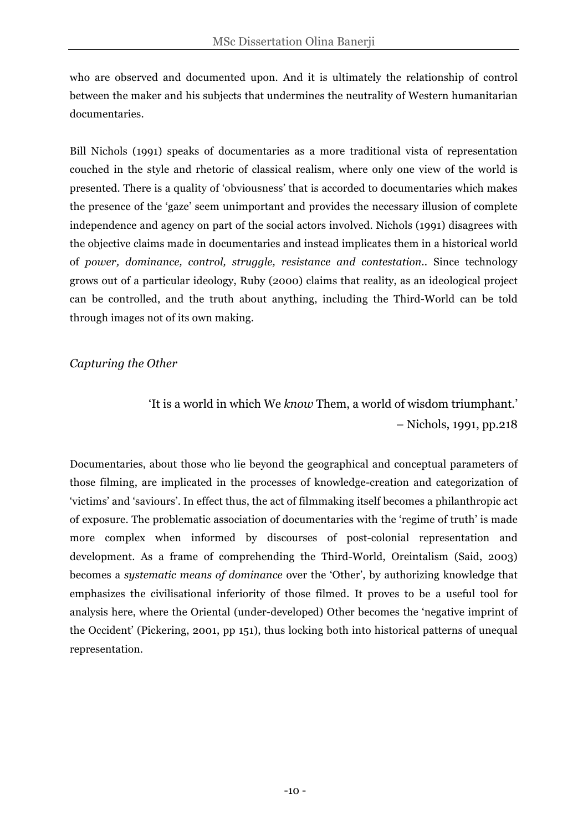who are observed and documented upon. And it is ultimately the relationship of control between the maker and his subjects that undermines the neutrality of Western humanitarian documentaries.

Bill Nichols (1991) speaks of documentaries as a more traditional vista of representation couched in the style and rhetoric of classical realism, where only one view of the world is presented. There is a quality of 'obviousness' that is accorded to documentaries which makes the presence of the 'gaze' seem unimportant and provides the necessary illusion of complete independence and agency on part of the social actors involved. Nichols (1991) disagrees with the objective claims made in documentaries and instead implicates them in a historical world of *power, dominance, control, struggle, resistance and contestation.*. Since technology grows out of a particular ideology, Ruby (2000) claims that reality, as an ideological project can be controlled, and the truth about anything, including the Third-World can be told through images not of its own making.

### *Capturing the Other*

'It is a world in which We *know* Them, a world of wisdom triumphant.' – Nichols, 1991, pp.218

Documentaries, about those who lie beyond the geographical and conceptual parameters of those filming, are implicated in the processes of knowledge-creation and categorization of 'victims' and 'saviours'. In effect thus, the act of filmmaking itself becomes a philanthropic act of exposure. The problematic association of documentaries with the 'regime of truth' is made more complex when informed by discourses of post-colonial representation and development. As a frame of comprehending the Third-World, Oreintalism (Said, 2003) becomes a *systematic means of dominance* over the 'Other', by authorizing knowledge that emphasizes the civilisational inferiority of those filmed. It proves to be a useful tool for analysis here, where the Oriental (under-developed) Other becomes the 'negative imprint of the Occident' (Pickering, 2001, pp 151), thus locking both into historical patterns of unequal representation.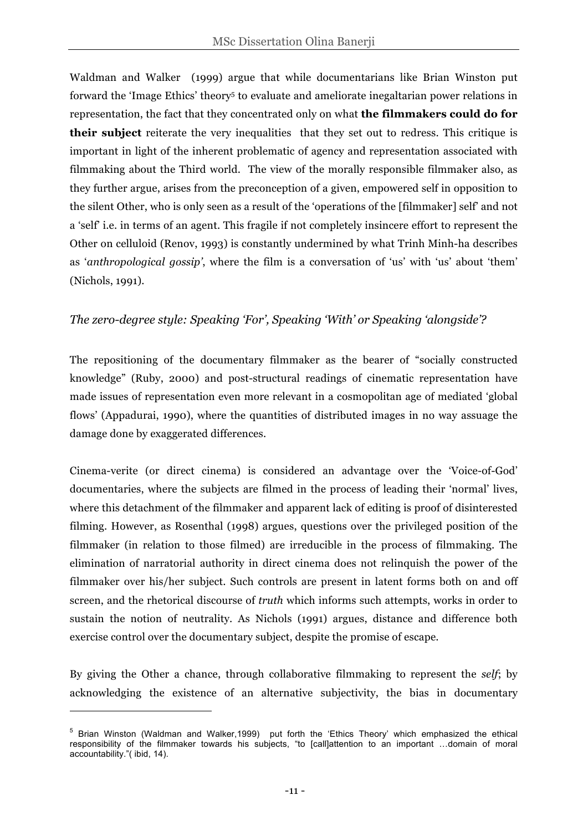Waldman and Walker (1999) argue that while documentarians like Brian Winston put forward the 'Image Ethics' theory<sup>5</sup> to evaluate and ameliorate inegaltarian power relations in representation, the fact that they concentrated only on what **the filmmakers could do for their subject** reiterate the very inequalities that they set out to redress. This critique is important in light of the inherent problematic of agency and representation associated with filmmaking about the Third world. The view of the morally responsible filmmaker also, as they further argue, arises from the preconception of a given, empowered self in opposition to the silent Other, who is only seen as a result of the 'operations of the [filmmaker] self' and not a 'self' i.e. in terms of an agent. This fragile if not completely insincere effort to represent the Other on celluloid (Renov, 1993) is constantly undermined by what Trinh Minh-ha describes as '*anthropological gossip'*, where the film is a conversation of 'us' with 'us' about 'them' (Nichols, 1991).

### *The zero-degree style: Speaking 'For', Speaking 'With' or Speaking 'alongside'?*

The repositioning of the documentary filmmaker as the bearer of "socially constructed knowledge" (Ruby, 2000) and post-structural readings of cinematic representation have made issues of representation even more relevant in a cosmopolitan age of mediated 'global flows' (Appadurai, 1990), where the quantities of distributed images in no way assuage the damage done by exaggerated differences.

Cinema-verite (or direct cinema) is considered an advantage over the 'Voice-of-God' documentaries, where the subjects are filmed in the process of leading their 'normal' lives, where this detachment of the filmmaker and apparent lack of editing is proof of disinterested filming. However, as Rosenthal (1998) argues, questions over the privileged position of the filmmaker (in relation to those filmed) are irreducible in the process of filmmaking. The elimination of narratorial authority in direct cinema does not relinquish the power of the filmmaker over his/her subject. Such controls are present in latent forms both on and off screen, and the rhetorical discourse of *truth* which informs such attempts, works in order to sustain the notion of neutrality. As Nichols (1991) argues, distance and difference both exercise control over the documentary subject, despite the promise of escape.

By giving the Other a chance, through collaborative filmmaking to represent the *self*; by acknowledging the existence of an alternative subjectivity, the bias in documentary

 $\overline{a}$ 

<sup>&</sup>lt;sup>5</sup> Brian Winston (Waldman and Walker, 1999) put forth the 'Ethics Theory' which emphasized the ethical responsibility of the filmmaker towards his subjects, "to [call]attention to an important …domain of moral accountability."( ibid, 14).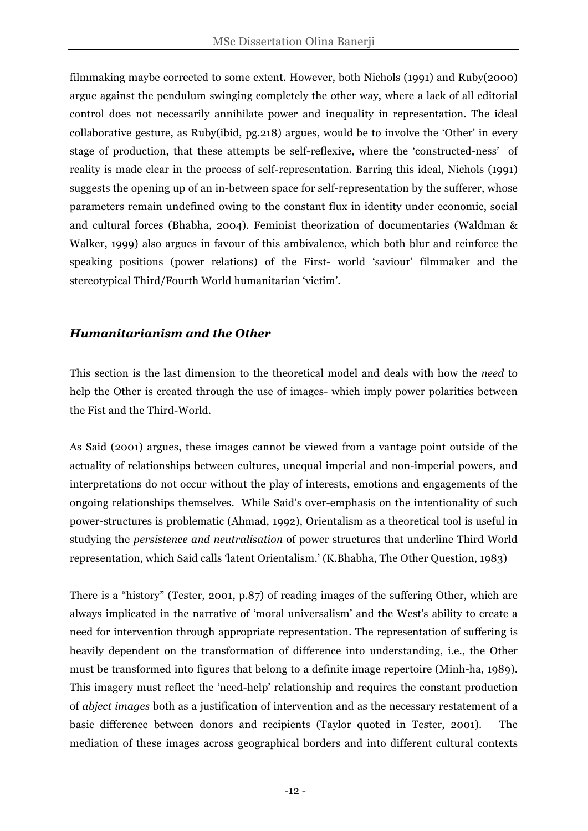filmmaking maybe corrected to some extent. However, both Nichols (1991) and Ruby(2000) argue against the pendulum swinging completely the other way, where a lack of all editorial control does not necessarily annihilate power and inequality in representation. The ideal collaborative gesture, as Ruby(ibid, pg.218) argues, would be to involve the 'Other' in every stage of production, that these attempts be self-reflexive, where the 'constructed-ness' of reality is made clear in the process of self-representation. Barring this ideal, Nichols (1991) suggests the opening up of an in-between space for self-representation by the sufferer, whose parameters remain undefined owing to the constant flux in identity under economic, social and cultural forces (Bhabha, 2004). Feminist theorization of documentaries (Waldman & Walker, 1999) also argues in favour of this ambivalence, which both blur and reinforce the speaking positions (power relations) of the First- world 'saviour' filmmaker and the stereotypical Third/Fourth World humanitarian 'victim'.

#### *Humanitarianism and the Other*

This section is the last dimension to the theoretical model and deals with how the *need* to help the Other is created through the use of images- which imply power polarities between the Fist and the Third-World.

As Said (2001) argues, these images cannot be viewed from a vantage point outside of the actuality of relationships between cultures, unequal imperial and non-imperial powers, and interpretations do not occur without the play of interests, emotions and engagements of the ongoing relationships themselves. While Said's over-emphasis on the intentionality of such power-structures is problematic (Ahmad, 1992), Orientalism as a theoretical tool is useful in studying the *persistence and neutralisation* of power structures that underline Third World representation, which Said calls 'latent Orientalism.' (K.Bhabha, The Other Question, 1983)

There is a "history" (Tester, 2001, p.87) of reading images of the suffering Other, which are always implicated in the narrative of 'moral universalism' and the West's ability to create a need for intervention through appropriate representation. The representation of suffering is heavily dependent on the transformation of difference into understanding, i.e., the Other must be transformed into figures that belong to a definite image repertoire (Minh-ha, 1989). This imagery must reflect the 'need-help' relationship and requires the constant production of *abject images* both as a justification of intervention and as the necessary restatement of a basic difference between donors and recipients (Taylor quoted in Tester, 2001). The mediation of these images across geographical borders and into different cultural contexts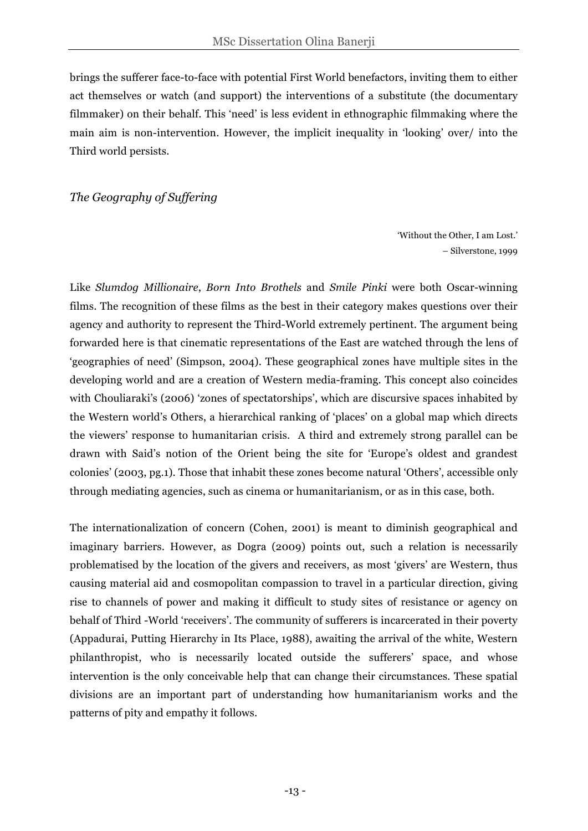brings the sufferer face-to-face with potential First World benefactors, inviting them to either act themselves or watch (and support) the interventions of a substitute (the documentary filmmaker) on their behalf. This 'need' is less evident in ethnographic filmmaking where the main aim is non-intervention. However, the implicit inequality in 'looking' over/ into the Third world persists.

#### *The Geography of Suffering*

'Without the Other, I am Lost.' – Silverstone, 1999

Like *Slumdog Millionaire*, *Born Into Brothels* and *Smile Pinki* were both Oscar-winning films. The recognition of these films as the best in their category makes questions over their agency and authority to represent the Third-World extremely pertinent. The argument being forwarded here is that cinematic representations of the East are watched through the lens of 'geographies of need' (Simpson, 2004). These geographical zones have multiple sites in the developing world and are a creation of Western media-framing. This concept also coincides with Chouliaraki's (2006) 'zones of spectatorships', which are discursive spaces inhabited by the Western world's Others, a hierarchical ranking of 'places' on a global map which directs the viewers' response to humanitarian crisis. A third and extremely strong parallel can be drawn with Said's notion of the Orient being the site for 'Europe's oldest and grandest colonies' (2003, pg.1). Those that inhabit these zones become natural 'Others', accessible only through mediating agencies, such as cinema or humanitarianism, or as in this case, both.

The internationalization of concern (Cohen, 2001) is meant to diminish geographical and imaginary barriers. However, as Dogra (2009) points out, such a relation is necessarily problematised by the location of the givers and receivers, as most 'givers' are Western, thus causing material aid and cosmopolitan compassion to travel in a particular direction, giving rise to channels of power and making it difficult to study sites of resistance or agency on behalf of Third -World 'receivers'. The community of sufferers is incarcerated in their poverty (Appadurai, Putting Hierarchy in Its Place, 1988), awaiting the arrival of the white, Western philanthropist, who is necessarily located outside the sufferers' space, and whose intervention is the only conceivable help that can change their circumstances. These spatial divisions are an important part of understanding how humanitarianism works and the patterns of pity and empathy it follows.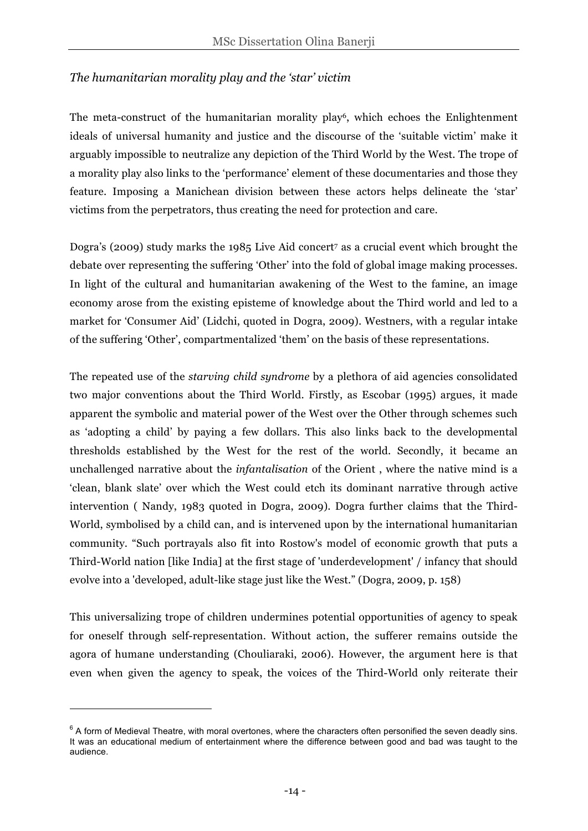#### *The humanitarian morality play and the 'star' victim*

The meta-construct of the humanitarian morality play<sup>6</sup>, which echoes the Enlightenment ideals of universal humanity and justice and the discourse of the 'suitable victim' make it arguably impossible to neutralize any depiction of the Third World by the West. The trope of a morality play also links to the 'performance' element of these documentaries and those they feature. Imposing a Manichean division between these actors helps delineate the 'star' victims from the perpetrators, thus creating the need for protection and care.

Dogra's (2009) study marks the 1985 Live Aid concert<sup>7</sup> as a crucial event which brought the debate over representing the suffering 'Other' into the fold of global image making processes. In light of the cultural and humanitarian awakening of the West to the famine, an image economy arose from the existing episteme of knowledge about the Third world and led to a market for 'Consumer Aid' (Lidchi, quoted in Dogra, 2009). Westners, with a regular intake of the suffering 'Other', compartmentalized 'them' on the basis of these representations.

The repeated use of the *starving child syndrome* by a plethora of aid agencies consolidated two major conventions about the Third World. Firstly, as Escobar (1995) argues, it made apparent the symbolic and material power of the West over the Other through schemes such as 'adopting a child' by paying a few dollars. This also links back to the developmental thresholds established by the West for the rest of the world. Secondly, it became an unchallenged narrative about the *infantalisation* of the Orient , where the native mind is a 'clean, blank slate' over which the West could etch its dominant narrative through active intervention ( Nandy, 1983 quoted in Dogra, 2009). Dogra further claims that the Third-World, symbolised by a child can, and is intervened upon by the international humanitarian community. "Such portrayals also fit into Rostow's model of economic growth that puts a Third-World nation [like India] at the first stage of 'underdevelopment' / infancy that should evolve into a 'developed, adult-like stage just like the West." (Dogra, 2009, p. 158)

This universalizing trope of children undermines potential opportunities of agency to speak for oneself through self-representation. Without action, the sufferer remains outside the agora of humane understanding (Chouliaraki, 2006). However, the argument here is that even when given the agency to speak, the voices of the Third-World only reiterate their

 $\overline{a}$ 

 $6$  A form of Medieval Theatre, with moral overtones, where the characters often personified the seven deadly sins. It was an educational medium of entertainment where the difference between good and bad was taught to the audience.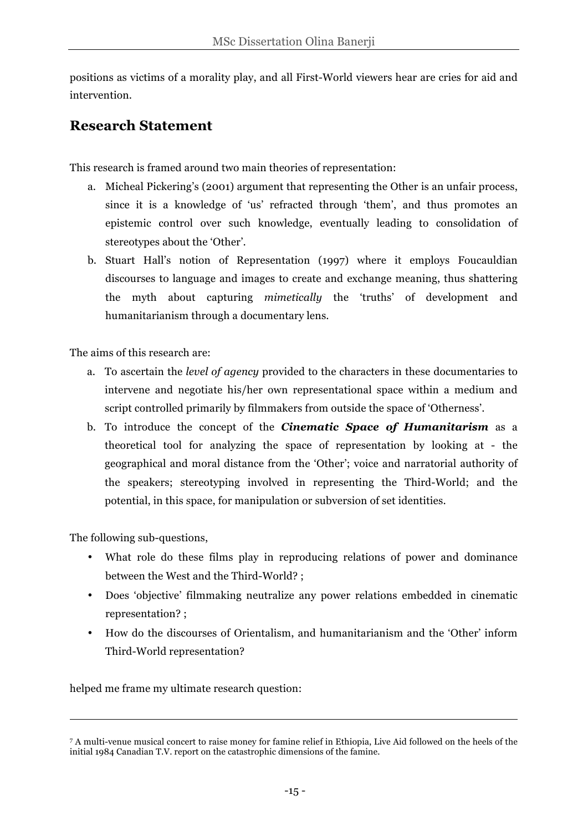positions as victims of a morality play, and all First-World viewers hear are cries for aid and intervention.

### **Research Statement**

This research is framed around two main theories of representation:

- a. Micheal Pickering's (2001) argument that representing the Other is an unfair process, since it is a knowledge of 'us' refracted through 'them', and thus promotes an epistemic control over such knowledge, eventually leading to consolidation of stereotypes about the 'Other'.
- b. Stuart Hall's notion of Representation (1997) where it employs Foucauldian discourses to language and images to create and exchange meaning, thus shattering the myth about capturing *mimetically* the 'truths' of development and humanitarianism through a documentary lens.

The aims of this research are:

- a. To ascertain the *level of agency* provided to the characters in these documentaries to intervene and negotiate his/her own representational space within a medium and script controlled primarily by filmmakers from outside the space of 'Otherness'.
- b. To introduce the concept of the *Cinematic Space of Humanitarism* as a theoretical tool for analyzing the space of representation by looking at - the geographical and moral distance from the 'Other'; voice and narratorial authority of the speakers; stereotyping involved in representing the Third-World; and the potential, in this space, for manipulation or subversion of set identities.

The following sub-questions,

 $\overline{a}$ 

- What role do these films play in reproducing relations of power and dominance between the West and the Third-World? ;
- Does 'objective' filmmaking neutralize any power relations embedded in cinematic representation? ;
- How do the discourses of Orientalism, and humanitarianism and the 'Other' inform Third-World representation?

helped me frame my ultimate research question:

<sup>7</sup> A multi-venue musical concert to raise money for famine relief in Ethiopia, Live Aid followed on the heels of the initial 1984 Canadian T.V. report on the catastrophic dimensions of the famine.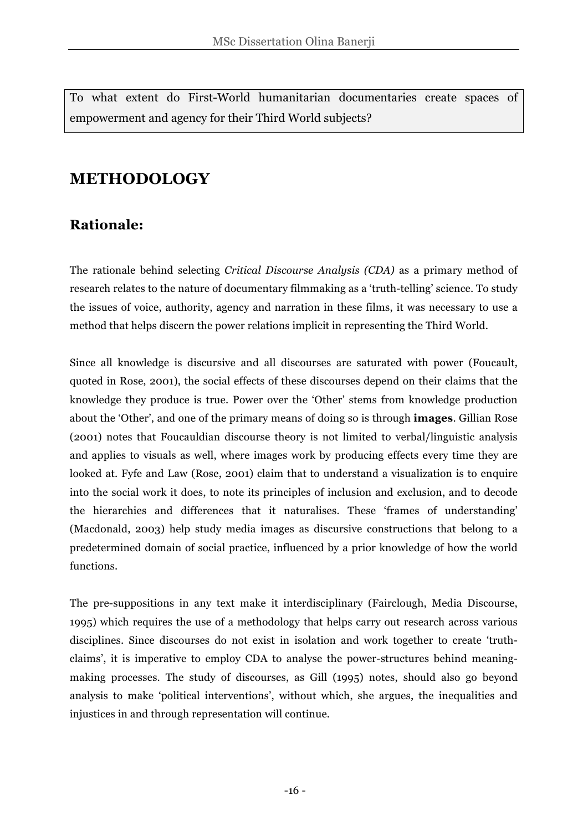To what extent do First-World humanitarian documentaries create spaces of empowerment and agency for their Third World subjects?

### **METHODOLOGY**

### **Rationale:**

The rationale behind selecting *Critical Discourse Analysis (CDA)* as a primary method of research relates to the nature of documentary filmmaking as a 'truth-telling' science. To study the issues of voice, authority, agency and narration in these films, it was necessary to use a method that helps discern the power relations implicit in representing the Third World.

Since all knowledge is discursive and all discourses are saturated with power (Foucault, quoted in Rose, 2001), the social effects of these discourses depend on their claims that the knowledge they produce is true. Power over the 'Other' stems from knowledge production about the 'Other', and one of the primary means of doing so is through **images**. Gillian Rose (2001) notes that Foucauldian discourse theory is not limited to verbal/linguistic analysis and applies to visuals as well, where images work by producing effects every time they are looked at. Fyfe and Law (Rose, 2001) claim that to understand a visualization is to enquire into the social work it does, to note its principles of inclusion and exclusion, and to decode the hierarchies and differences that it naturalises. These 'frames of understanding' (Macdonald, 2003) help study media images as discursive constructions that belong to a predetermined domain of social practice, influenced by a prior knowledge of how the world functions.

The pre-suppositions in any text make it interdisciplinary (Fairclough, Media Discourse, 1995) which requires the use of a methodology that helps carry out research across various disciplines. Since discourses do not exist in isolation and work together to create 'truthclaims', it is imperative to employ CDA to analyse the power-structures behind meaningmaking processes. The study of discourses, as Gill (1995) notes, should also go beyond analysis to make 'political interventions', without which, she argues, the inequalities and injustices in and through representation will continue.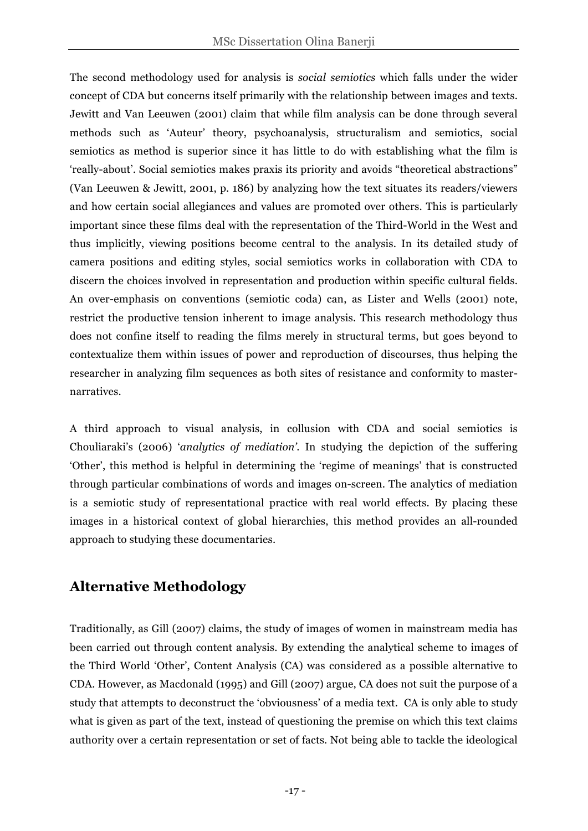The second methodology used for analysis is *social semiotics* which falls under the wider concept of CDA but concerns itself primarily with the relationship between images and texts. Jewitt and Van Leeuwen (2001) claim that while film analysis can be done through several methods such as 'Auteur' theory, psychoanalysis, structuralism and semiotics, social semiotics as method is superior since it has little to do with establishing what the film is 'really-about'. Social semiotics makes praxis its priority and avoids "theoretical abstractions" (Van Leeuwen & Jewitt, 2001, p. 186) by analyzing how the text situates its readers/viewers and how certain social allegiances and values are promoted over others. This is particularly important since these films deal with the representation of the Third-World in the West and thus implicitly, viewing positions become central to the analysis. In its detailed study of camera positions and editing styles, social semiotics works in collaboration with CDA to discern the choices involved in representation and production within specific cultural fields. An over-emphasis on conventions (semiotic coda) can, as Lister and Wells (2001) note, restrict the productive tension inherent to image analysis. This research methodology thus does not confine itself to reading the films merely in structural terms, but goes beyond to contextualize them within issues of power and reproduction of discourses, thus helping the researcher in analyzing film sequences as both sites of resistance and conformity to masternarratives.

A third approach to visual analysis, in collusion with CDA and social semiotics is Chouliaraki's (2006) '*analytics of mediation'*. In studying the depiction of the suffering 'Other', this method is helpful in determining the 'regime of meanings' that is constructed through particular combinations of words and images on-screen. The analytics of mediation is a semiotic study of representational practice with real world effects. By placing these images in a historical context of global hierarchies, this method provides an all-rounded approach to studying these documentaries.

### **Alternative Methodology**

Traditionally, as Gill (2007) claims, the study of images of women in mainstream media has been carried out through content analysis. By extending the analytical scheme to images of the Third World 'Other', Content Analysis (CA) was considered as a possible alternative to CDA. However, as Macdonald (1995) and Gill (2007) argue, CA does not suit the purpose of a study that attempts to deconstruct the 'obviousness' of a media text. CA is only able to study what is given as part of the text, instead of questioning the premise on which this text claims authority over a certain representation or set of facts. Not being able to tackle the ideological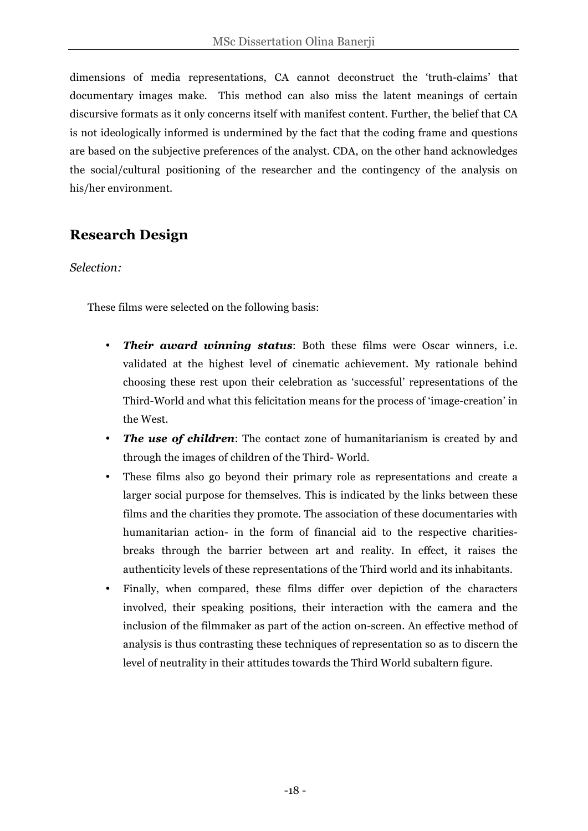dimensions of media representations, CA cannot deconstruct the 'truth-claims' that documentary images make. This method can also miss the latent meanings of certain discursive formats as it only concerns itself with manifest content. Further, the belief that CA is not ideologically informed is undermined by the fact that the coding frame and questions are based on the subjective preferences of the analyst. CDA, on the other hand acknowledges the social/cultural positioning of the researcher and the contingency of the analysis on his/her environment.

### **Research Design**

#### *Selection:*

These films were selected on the following basis:

- *Their award winning status*: Both these films were Oscar winners, i.e. validated at the highest level of cinematic achievement. My rationale behind choosing these rest upon their celebration as 'successful' representations of the Third-World and what this felicitation means for the process of 'image-creation' in the West.
- *The use of children*: The contact zone of humanitarianism is created by and through the images of children of the Third- World.
- These films also go beyond their primary role as representations and create a larger social purpose for themselves. This is indicated by the links between these films and the charities they promote. The association of these documentaries with humanitarian action- in the form of financial aid to the respective charitiesbreaks through the barrier between art and reality. In effect, it raises the authenticity levels of these representations of the Third world and its inhabitants.
- Finally, when compared, these films differ over depiction of the characters involved, their speaking positions, their interaction with the camera and the inclusion of the filmmaker as part of the action on-screen. An effective method of analysis is thus contrasting these techniques of representation so as to discern the level of neutrality in their attitudes towards the Third World subaltern figure.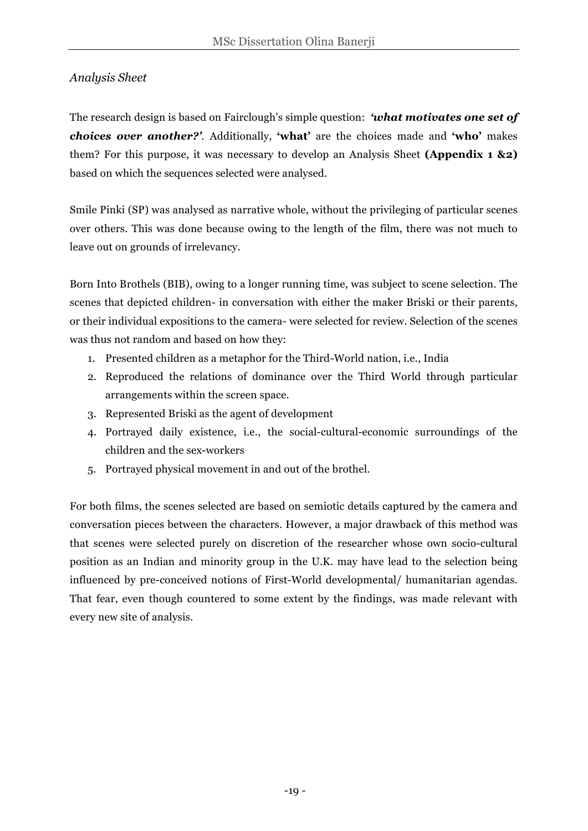### *Analysis Sheet*

The research design is based on Fairclough's simple question: *'what motivates one set of choices over another?'.* Additionally, **'what'** are the choices made and **'who'** makes them? For this purpose, it was necessary to develop an Analysis Sheet **(Appendix 1 &2)** based on which the sequences selected were analysed.

Smile Pinki (SP) was analysed as narrative whole, without the privileging of particular scenes over others. This was done because owing to the length of the film, there was not much to leave out on grounds of irrelevancy.

Born Into Brothels (BIB), owing to a longer running time, was subject to scene selection. The scenes that depicted children- in conversation with either the maker Briski or their parents, or their individual expositions to the camera- were selected for review. Selection of the scenes was thus not random and based on how they:

- 1. Presented children as a metaphor for the Third-World nation, i.e., India
- 2. Reproduced the relations of dominance over the Third World through particular arrangements within the screen space.
- 3. Represented Briski as the agent of development
- 4. Portrayed daily existence, i.e., the social-cultural-economic surroundings of the children and the sex-workers
- 5. Portrayed physical movement in and out of the brothel.

For both films, the scenes selected are based on semiotic details captured by the camera and conversation pieces between the characters. However, a major drawback of this method was that scenes were selected purely on discretion of the researcher whose own socio-cultural position as an Indian and minority group in the U.K. may have lead to the selection being influenced by pre-conceived notions of First-World developmental/ humanitarian agendas. That fear, even though countered to some extent by the findings, was made relevant with every new site of analysis.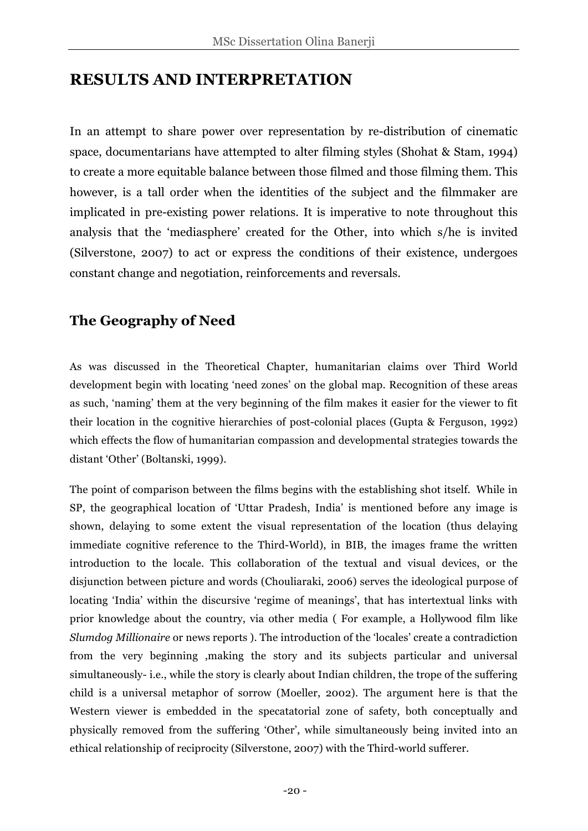### **RESULTS AND INTERPRETATION**

In an attempt to share power over representation by re-distribution of cinematic space, documentarians have attempted to alter filming styles (Shohat & Stam, 1994) to create a more equitable balance between those filmed and those filming them. This however, is a tall order when the identities of the subject and the filmmaker are implicated in pre-existing power relations. It is imperative to note throughout this analysis that the 'mediasphere' created for the Other, into which s/he is invited (Silverstone, 2007) to act or express the conditions of their existence, undergoes constant change and negotiation, reinforcements and reversals.

### **The Geography of Need**

As was discussed in the Theoretical Chapter, humanitarian claims over Third World development begin with locating 'need zones' on the global map. Recognition of these areas as such, 'naming' them at the very beginning of the film makes it easier for the viewer to fit their location in the cognitive hierarchies of post-colonial places (Gupta & Ferguson, 1992) which effects the flow of humanitarian compassion and developmental strategies towards the distant 'Other' (Boltanski, 1999).

The point of comparison between the films begins with the establishing shot itself. While in SP, the geographical location of 'Uttar Pradesh, India' is mentioned before any image is shown, delaying to some extent the visual representation of the location (thus delaying immediate cognitive reference to the Third-World), in BIB, the images frame the written introduction to the locale. This collaboration of the textual and visual devices, or the disjunction between picture and words (Chouliaraki, 2006) serves the ideological purpose of locating 'India' within the discursive 'regime of meanings', that has intertextual links with prior knowledge about the country, via other media ( For example, a Hollywood film like *Slumdog Millionaire* or news reports ). The introduction of the 'locales' create a contradiction from the very beginning ,making the story and its subjects particular and universal simultaneously- i.e., while the story is clearly about Indian children, the trope of the suffering child is a universal metaphor of sorrow (Moeller, 2002). The argument here is that the Western viewer is embedded in the specatatorial zone of safety, both conceptually and physically removed from the suffering 'Other', while simultaneously being invited into an ethical relationship of reciprocity (Silverstone, 2007) with the Third-world sufferer.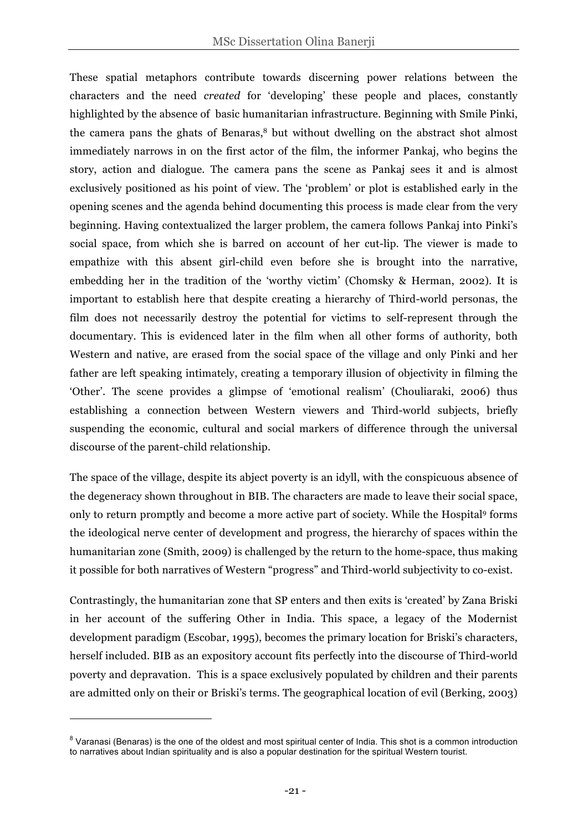These spatial metaphors contribute towards discerning power relations between the characters and the need *created* for 'developing' these people and places, constantly highlighted by the absence of basic humanitarian infrastructure. Beginning with Smile Pinki, the camera pans the ghats of Benaras,<sup>8</sup> but without dwelling on the abstract shot almost immediately narrows in on the first actor of the film, the informer Pankaj, who begins the story, action and dialogue. The camera pans the scene as Pankaj sees it and is almost exclusively positioned as his point of view. The 'problem' or plot is established early in the opening scenes and the agenda behind documenting this process is made clear from the very beginning. Having contextualized the larger problem, the camera follows Pankaj into Pinki's social space, from which she is barred on account of her cut-lip. The viewer is made to empathize with this absent girl-child even before she is brought into the narrative, embedding her in the tradition of the 'worthy victim' (Chomsky & Herman, 2002). It is important to establish here that despite creating a hierarchy of Third-world personas, the film does not necessarily destroy the potential for victims to self-represent through the documentary. This is evidenced later in the film when all other forms of authority, both Western and native, are erased from the social space of the village and only Pinki and her father are left speaking intimately, creating a temporary illusion of objectivity in filming the 'Other'. The scene provides a glimpse of 'emotional realism' (Chouliaraki, 2006) thus establishing a connection between Western viewers and Third-world subjects, briefly suspending the economic, cultural and social markers of difference through the universal discourse of the parent-child relationship.

The space of the village, despite its abject poverty is an idyll, with the conspicuous absence of the degeneracy shown throughout in BIB. The characters are made to leave their social space, only to return promptly and become a more active part of society. While the Hospital9 forms the ideological nerve center of development and progress, the hierarchy of spaces within the humanitarian zone (Smith, 2009) is challenged by the return to the home-space, thus making it possible for both narratives of Western "progress" and Third-world subjectivity to co-exist.

Contrastingly, the humanitarian zone that SP enters and then exits is 'created' by Zana Briski in her account of the suffering Other in India. This space, a legacy of the Modernist development paradigm (Escobar, 1995), becomes the primary location for Briski's characters, herself included. BIB as an expository account fits perfectly into the discourse of Third-world poverty and depravation. This is a space exclusively populated by children and their parents are admitted only on their or Briski's terms. The geographical location of evil (Berking, 2003)

 $\overline{a}$ 

<sup>&</sup>lt;sup>8</sup> Varanasi (Benaras) is the one of the oldest and most spiritual center of India. This shot is a common introduction to narratives about Indian spirituality and is also a popular destination for the spiritual Western tourist.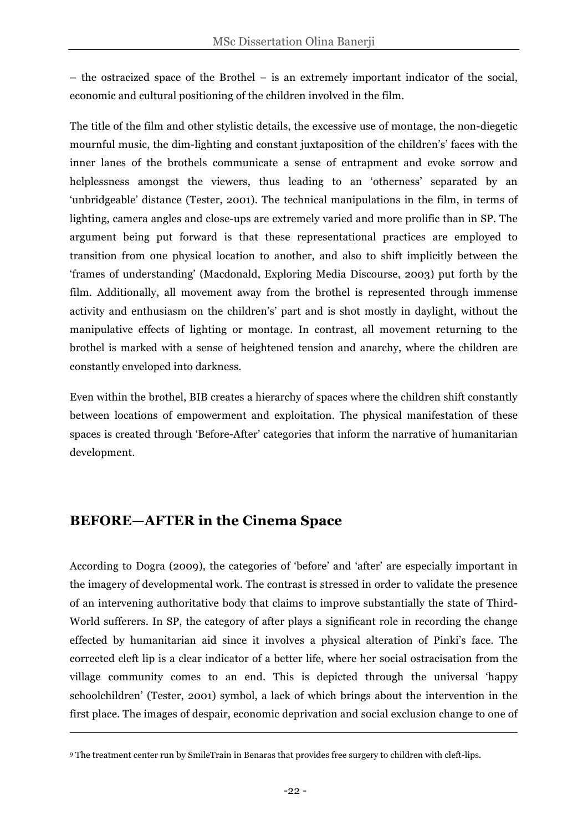– the ostracized space of the Brothel – is an extremely important indicator of the social, economic and cultural positioning of the children involved in the film.

The title of the film and other stylistic details, the excessive use of montage, the non-diegetic mournful music, the dim-lighting and constant juxtaposition of the children's' faces with the inner lanes of the brothels communicate a sense of entrapment and evoke sorrow and helplessness amongst the viewers, thus leading to an 'otherness' separated by an 'unbridgeable' distance (Tester, 2001). The technical manipulations in the film, in terms of lighting, camera angles and close-ups are extremely varied and more prolific than in SP. The argument being put forward is that these representational practices are employed to transition from one physical location to another, and also to shift implicitly between the 'frames of understanding' (Macdonald, Exploring Media Discourse, 2003) put forth by the film. Additionally, all movement away from the brothel is represented through immense activity and enthusiasm on the children's' part and is shot mostly in daylight, without the manipulative effects of lighting or montage. In contrast, all movement returning to the brothel is marked with a sense of heightened tension and anarchy, where the children are constantly enveloped into darkness.

Even within the brothel, BIB creates a hierarchy of spaces where the children shift constantly between locations of empowerment and exploitation. The physical manifestation of these spaces is created through 'Before-After' categories that inform the narrative of humanitarian development.

### **BEFORE—AFTER in the Cinema Space**

 $\overline{a}$ 

According to Dogra (2009), the categories of 'before' and 'after' are especially important in the imagery of developmental work. The contrast is stressed in order to validate the presence of an intervening authoritative body that claims to improve substantially the state of Third-World sufferers. In SP, the category of after plays a significant role in recording the change effected by humanitarian aid since it involves a physical alteration of Pinki's face. The corrected cleft lip is a clear indicator of a better life, where her social ostracisation from the village community comes to an end. This is depicted through the universal 'happy schoolchildren' (Tester, 2001) symbol, a lack of which brings about the intervention in the first place. The images of despair, economic deprivation and social exclusion change to one of

<sup>9</sup> The treatment center run by SmileTrain in Benaras that provides free surgery to children with cleft-lips.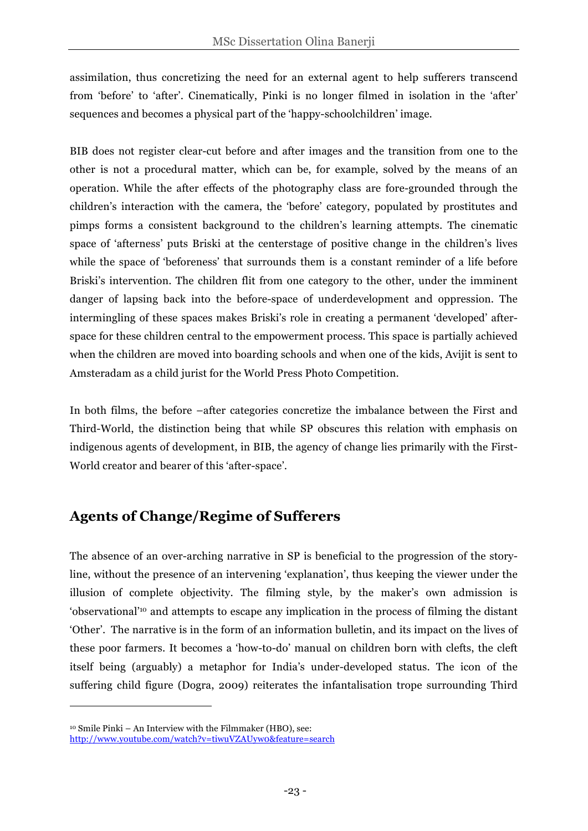assimilation, thus concretizing the need for an external agent to help sufferers transcend from 'before' to 'after'. Cinematically, Pinki is no longer filmed in isolation in the 'after' sequences and becomes a physical part of the 'happy-schoolchildren' image.

BIB does not register clear-cut before and after images and the transition from one to the other is not a procedural matter, which can be, for example, solved by the means of an operation. While the after effects of the photography class are fore-grounded through the children's interaction with the camera, the 'before' category, populated by prostitutes and pimps forms a consistent background to the children's learning attempts. The cinematic space of 'afterness' puts Briski at the centerstage of positive change in the children's lives while the space of 'beforeness' that surrounds them is a constant reminder of a life before Briski's intervention. The children flit from one category to the other, under the imminent danger of lapsing back into the before-space of underdevelopment and oppression. The intermingling of these spaces makes Briski's role in creating a permanent 'developed' afterspace for these children central to the empowerment process. This space is partially achieved when the children are moved into boarding schools and when one of the kids, Avijit is sent to Amsteradam as a child jurist for the World Press Photo Competition.

In both films, the before –after categories concretize the imbalance between the First and Third-World, the distinction being that while SP obscures this relation with emphasis on indigenous agents of development, in BIB, the agency of change lies primarily with the First-World creator and bearer of this 'after-space'.

### **Agents of Change/Regime of Sufferers**

The absence of an over-arching narrative in SP is beneficial to the progression of the storyline, without the presence of an intervening 'explanation', thus keeping the viewer under the illusion of complete objectivity. The filming style, by the maker's own admission is 'observational'10 and attempts to escape any implication in the process of filming the distant 'Other'. The narrative is in the form of an information bulletin, and its impact on the lives of these poor farmers. It becomes a 'how-to-do' manual on children born with clefts, the cleft itself being (arguably) a metaphor for India's under-developed status. The icon of the suffering child figure (Dogra, 2009) reiterates the infantalisation trope surrounding Third

 $\overline{a}$ 

<sup>10</sup> Smile Pinki – An Interview with the Filmmaker (HBO), see:

http://www.youtube.com/watch?v=tiwuVZAUyw0&feature=search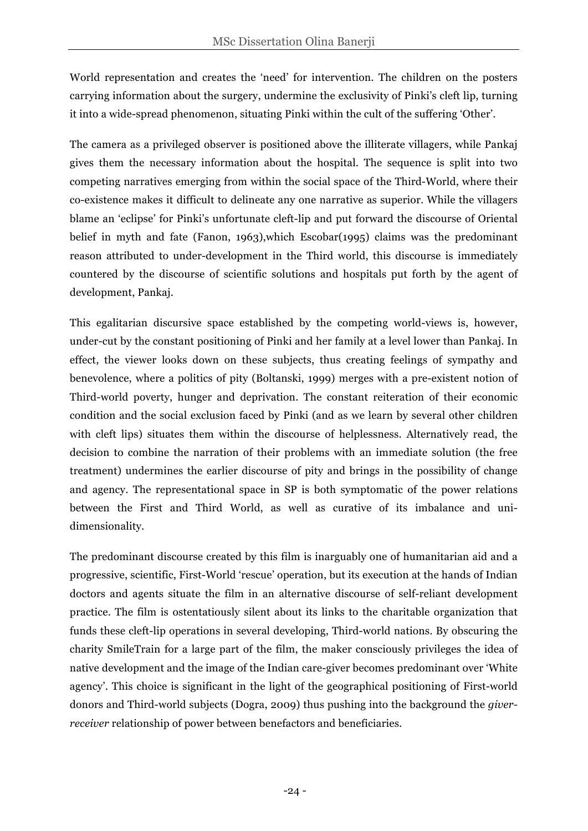World representation and creates the 'need' for intervention. The children on the posters carrying information about the surgery, undermine the exclusivity of Pinki's cleft lip, turning it into a wide-spread phenomenon, situating Pinki within the cult of the suffering 'Other'.

The camera as a privileged observer is positioned above the illiterate villagers, while Pankaj gives them the necessary information about the hospital. The sequence is split into two competing narratives emerging from within the social space of the Third-World, where their co-existence makes it difficult to delineate any one narrative as superior. While the villagers blame an 'eclipse' for Pinki's unfortunate cleft-lip and put forward the discourse of Oriental belief in myth and fate (Fanon, 1963),which Escobar(1995) claims was the predominant reason attributed to under-development in the Third world, this discourse is immediately countered by the discourse of scientific solutions and hospitals put forth by the agent of development, Pankaj.

This egalitarian discursive space established by the competing world-views is, however, under-cut by the constant positioning of Pinki and her family at a level lower than Pankaj. In effect, the viewer looks down on these subjects, thus creating feelings of sympathy and benevolence, where a politics of pity (Boltanski, 1999) merges with a pre-existent notion of Third-world poverty, hunger and deprivation. The constant reiteration of their economic condition and the social exclusion faced by Pinki (and as we learn by several other children with cleft lips) situates them within the discourse of helplessness. Alternatively read, the decision to combine the narration of their problems with an immediate solution (the free treatment) undermines the earlier discourse of pity and brings in the possibility of change and agency. The representational space in SP is both symptomatic of the power relations between the First and Third World, as well as curative of its imbalance and unidimensionality.

The predominant discourse created by this film is inarguably one of humanitarian aid and a progressive, scientific, First-World 'rescue' operation, but its execution at the hands of Indian doctors and agents situate the film in an alternative discourse of self-reliant development practice. The film is ostentatiously silent about its links to the charitable organization that funds these cleft-lip operations in several developing, Third-world nations. By obscuring the charity SmileTrain for a large part of the film, the maker consciously privileges the idea of native development and the image of the Indian care-giver becomes predominant over 'White agency'. This choice is significant in the light of the geographical positioning of First-world donors and Third-world subjects (Dogra, 2009) thus pushing into the background the *giverreceiver* relationship of power between benefactors and beneficiaries.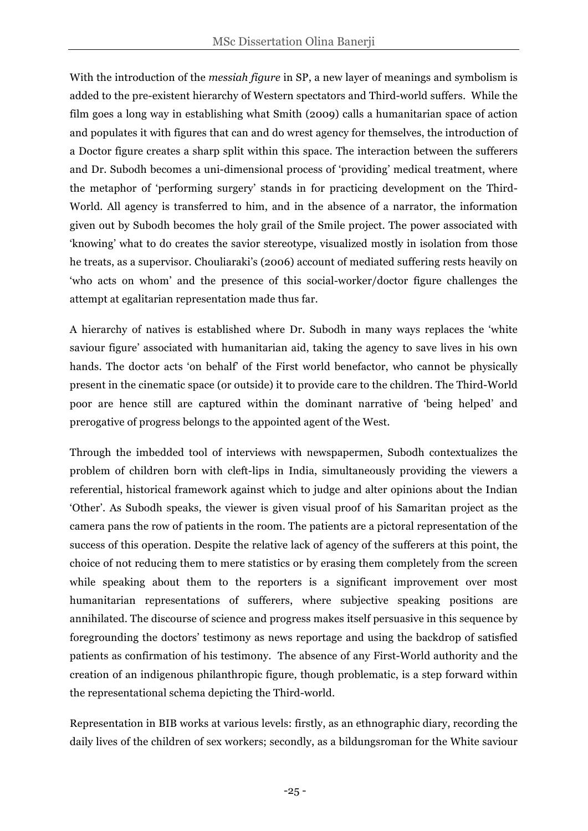With the introduction of the *messiah figure* in SP, a new layer of meanings and symbolism is added to the pre-existent hierarchy of Western spectators and Third-world suffers. While the film goes a long way in establishing what Smith (2009) calls a humanitarian space of action and populates it with figures that can and do wrest agency for themselves, the introduction of a Doctor figure creates a sharp split within this space. The interaction between the sufferers and Dr. Subodh becomes a uni-dimensional process of 'providing' medical treatment, where the metaphor of 'performing surgery' stands in for practicing development on the Third-World. All agency is transferred to him, and in the absence of a narrator, the information given out by Subodh becomes the holy grail of the Smile project. The power associated with 'knowing' what to do creates the savior stereotype, visualized mostly in isolation from those he treats, as a supervisor. Chouliaraki's (2006) account of mediated suffering rests heavily on 'who acts on whom' and the presence of this social-worker/doctor figure challenges the attempt at egalitarian representation made thus far.

A hierarchy of natives is established where Dr. Subodh in many ways replaces the 'white saviour figure' associated with humanitarian aid, taking the agency to save lives in his own hands. The doctor acts 'on behalf' of the First world benefactor, who cannot be physically present in the cinematic space (or outside) it to provide care to the children. The Third-World poor are hence still are captured within the dominant narrative of 'being helped' and prerogative of progress belongs to the appointed agent of the West.

Through the imbedded tool of interviews with newspapermen, Subodh contextualizes the problem of children born with cleft-lips in India, simultaneously providing the viewers a referential, historical framework against which to judge and alter opinions about the Indian 'Other'. As Subodh speaks, the viewer is given visual proof of his Samaritan project as the camera pans the row of patients in the room. The patients are a pictoral representation of the success of this operation. Despite the relative lack of agency of the sufferers at this point, the choice of not reducing them to mere statistics or by erasing them completely from the screen while speaking about them to the reporters is a significant improvement over most humanitarian representations of sufferers, where subjective speaking positions are annihilated. The discourse of science and progress makes itself persuasive in this sequence by foregrounding the doctors' testimony as news reportage and using the backdrop of satisfied patients as confirmation of his testimony. The absence of any First-World authority and the creation of an indigenous philanthropic figure, though problematic, is a step forward within the representational schema depicting the Third-world.

Representation in BIB works at various levels: firstly, as an ethnographic diary, recording the daily lives of the children of sex workers; secondly, as a bildungsroman for the White saviour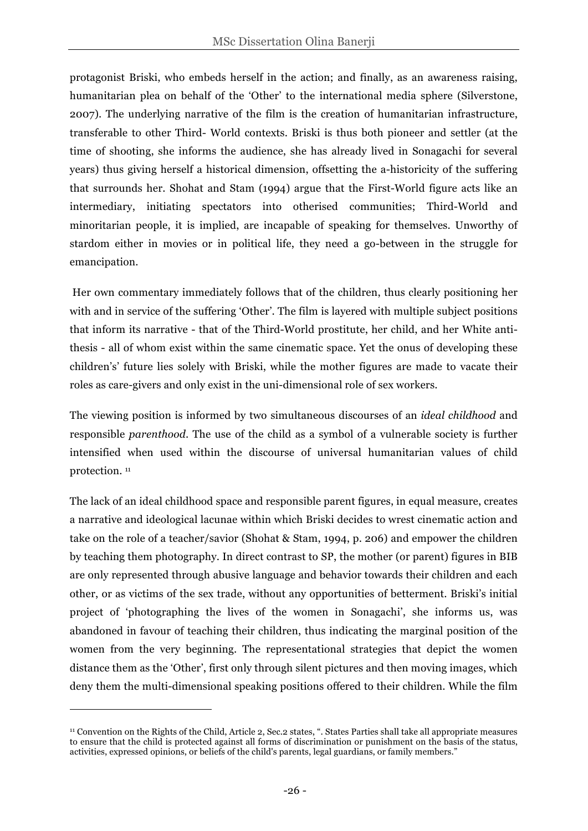protagonist Briski, who embeds herself in the action; and finally, as an awareness raising, humanitarian plea on behalf of the 'Other' to the international media sphere (Silverstone, 2007). The underlying narrative of the film is the creation of humanitarian infrastructure, transferable to other Third- World contexts. Briski is thus both pioneer and settler (at the time of shooting, she informs the audience, she has already lived in Sonagachi for several years) thus giving herself a historical dimension, offsetting the a-historicity of the suffering that surrounds her. Shohat and Stam (1994) argue that the First-World figure acts like an intermediary, initiating spectators into otherised communities; Third-World and minoritarian people, it is implied, are incapable of speaking for themselves. Unworthy of stardom either in movies or in political life, they need a go-between in the struggle for emancipation.

Her own commentary immediately follows that of the children, thus clearly positioning her with and in service of the suffering 'Other'. The film is layered with multiple subject positions that inform its narrative - that of the Third-World prostitute, her child, and her White antithesis - all of whom exist within the same cinematic space. Yet the onus of developing these children's' future lies solely with Briski, while the mother figures are made to vacate their roles as care-givers and only exist in the uni-dimensional role of sex workers.

The viewing position is informed by two simultaneous discourses of an *ideal childhood* and responsible *parenthood*. The use of the child as a symbol of a vulnerable society is further intensified when used within the discourse of universal humanitarian values of child protection. 11

The lack of an ideal childhood space and responsible parent figures, in equal measure, creates a narrative and ideological lacunae within which Briski decides to wrest cinematic action and take on the role of a teacher/savior (Shohat & Stam, 1994, p. 206) and empower the children by teaching them photography. In direct contrast to SP, the mother (or parent) figures in BIB are only represented through abusive language and behavior towards their children and each other, or as victims of the sex trade, without any opportunities of betterment. Briski's initial project of 'photographing the lives of the women in Sonagachi', she informs us, was abandoned in favour of teaching their children, thus indicating the marginal position of the women from the very beginning. The representational strategies that depict the women distance them as the 'Other', first only through silent pictures and then moving images, which deny them the multi-dimensional speaking positions offered to their children. While the film

 $\overline{a}$ 

<sup>11</sup> Convention on the Rights of the Child, Article 2, Sec.2 states, ". States Parties shall take all appropriate measures to ensure that the child is protected against all forms of discrimination or punishment on the basis of the status, activities, expressed opinions, or beliefs of the child's parents, legal guardians, or family members."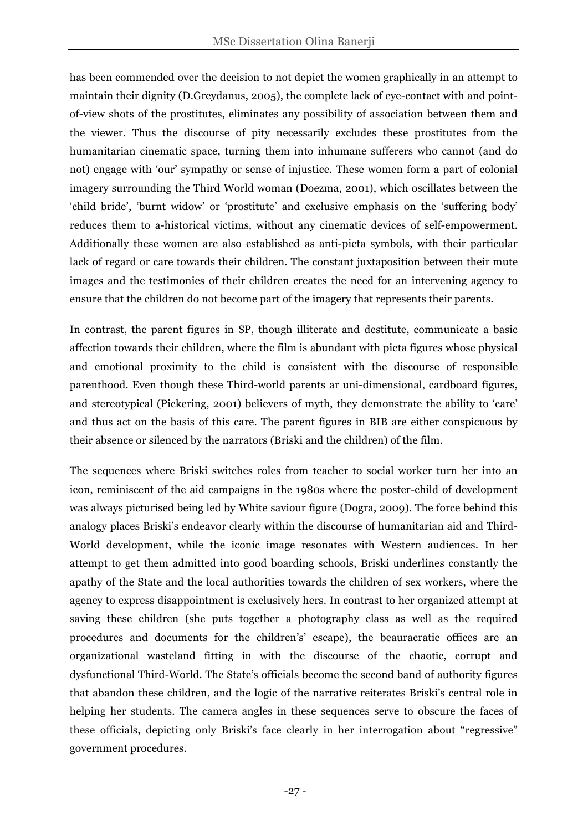has been commended over the decision to not depict the women graphically in an attempt to maintain their dignity (D.Greydanus, 2005), the complete lack of eye-contact with and pointof-view shots of the prostitutes, eliminates any possibility of association between them and the viewer. Thus the discourse of pity necessarily excludes these prostitutes from the humanitarian cinematic space, turning them into inhumane sufferers who cannot (and do not) engage with 'our' sympathy or sense of injustice. These women form a part of colonial imagery surrounding the Third World woman (Doezma, 2001), which oscillates between the 'child bride', 'burnt widow' or 'prostitute' and exclusive emphasis on the 'suffering body' reduces them to a-historical victims, without any cinematic devices of self-empowerment. Additionally these women are also established as anti-pieta symbols, with their particular lack of regard or care towards their children. The constant juxtaposition between their mute images and the testimonies of their children creates the need for an intervening agency to ensure that the children do not become part of the imagery that represents their parents.

In contrast, the parent figures in SP, though illiterate and destitute, communicate a basic affection towards their children, where the film is abundant with pieta figures whose physical and emotional proximity to the child is consistent with the discourse of responsible parenthood. Even though these Third-world parents ar uni-dimensional, cardboard figures, and stereotypical (Pickering, 2001) believers of myth, they demonstrate the ability to 'care' and thus act on the basis of this care. The parent figures in BIB are either conspicuous by their absence or silenced by the narrators (Briski and the children) of the film.

The sequences where Briski switches roles from teacher to social worker turn her into an icon, reminiscent of the aid campaigns in the 1980s where the poster-child of development was always picturised being led by White saviour figure (Dogra, 2009). The force behind this analogy places Briski's endeavor clearly within the discourse of humanitarian aid and Third-World development, while the iconic image resonates with Western audiences. In her attempt to get them admitted into good boarding schools, Briski underlines constantly the apathy of the State and the local authorities towards the children of sex workers, where the agency to express disappointment is exclusively hers. In contrast to her organized attempt at saving these children (she puts together a photography class as well as the required procedures and documents for the children's' escape), the beauracratic offices are an organizational wasteland fitting in with the discourse of the chaotic, corrupt and dysfunctional Third-World. The State's officials become the second band of authority figures that abandon these children, and the logic of the narrative reiterates Briski's central role in helping her students. The camera angles in these sequences serve to obscure the faces of these officials, depicting only Briski's face clearly in her interrogation about "regressive" government procedures.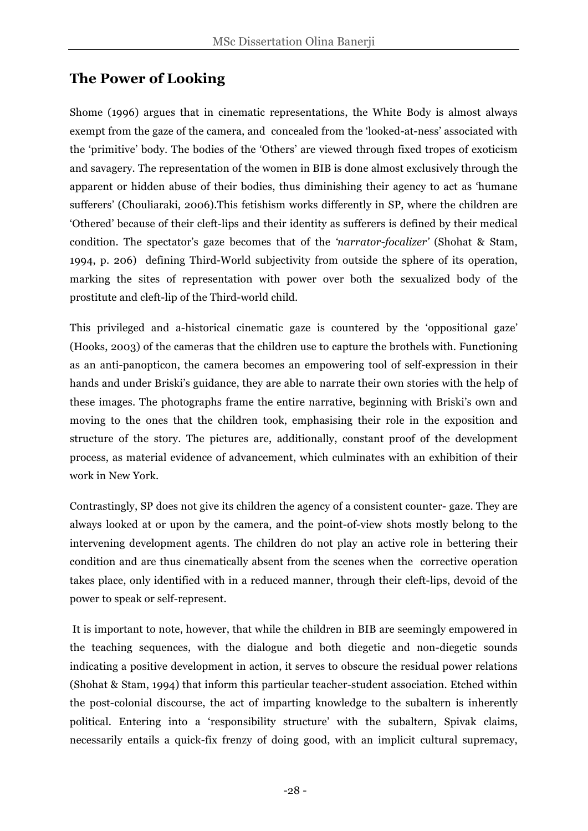### **The Power of Looking**

Shome (1996) argues that in cinematic representations, the White Body is almost always exempt from the gaze of the camera, and concealed from the 'looked-at-ness' associated with the 'primitive' body. The bodies of the 'Others' are viewed through fixed tropes of exoticism and savagery. The representation of the women in BIB is done almost exclusively through the apparent or hidden abuse of their bodies, thus diminishing their agency to act as 'humane sufferers' (Chouliaraki, 2006).This fetishism works differently in SP, where the children are 'Othered' because of their cleft-lips and their identity as sufferers is defined by their medical condition. The spectator's gaze becomes that of the *'narrator-focalizer'* (Shohat & Stam, 1994, p. 206) defining Third-World subjectivity from outside the sphere of its operation, marking the sites of representation with power over both the sexualized body of the prostitute and cleft-lip of the Third-world child.

This privileged and a-historical cinematic gaze is countered by the 'oppositional gaze' (Hooks, 2003) of the cameras that the children use to capture the brothels with. Functioning as an anti-panopticon, the camera becomes an empowering tool of self-expression in their hands and under Briski's guidance, they are able to narrate their own stories with the help of these images. The photographs frame the entire narrative, beginning with Briski's own and moving to the ones that the children took, emphasising their role in the exposition and structure of the story. The pictures are, additionally, constant proof of the development process, as material evidence of advancement, which culminates with an exhibition of their work in New York.

Contrastingly, SP does not give its children the agency of a consistent counter- gaze. They are always looked at or upon by the camera, and the point-of-view shots mostly belong to the intervening development agents. The children do not play an active role in bettering their condition and are thus cinematically absent from the scenes when the corrective operation takes place, only identified with in a reduced manner, through their cleft-lips, devoid of the power to speak or self-represent.

It is important to note, however, that while the children in BIB are seemingly empowered in the teaching sequences, with the dialogue and both diegetic and non-diegetic sounds indicating a positive development in action, it serves to obscure the residual power relations (Shohat & Stam, 1994) that inform this particular teacher-student association. Etched within the post-colonial discourse, the act of imparting knowledge to the subaltern is inherently political. Entering into a 'responsibility structure' with the subaltern, Spivak claims, necessarily entails a quick-fix frenzy of doing good, with an implicit cultural supremacy,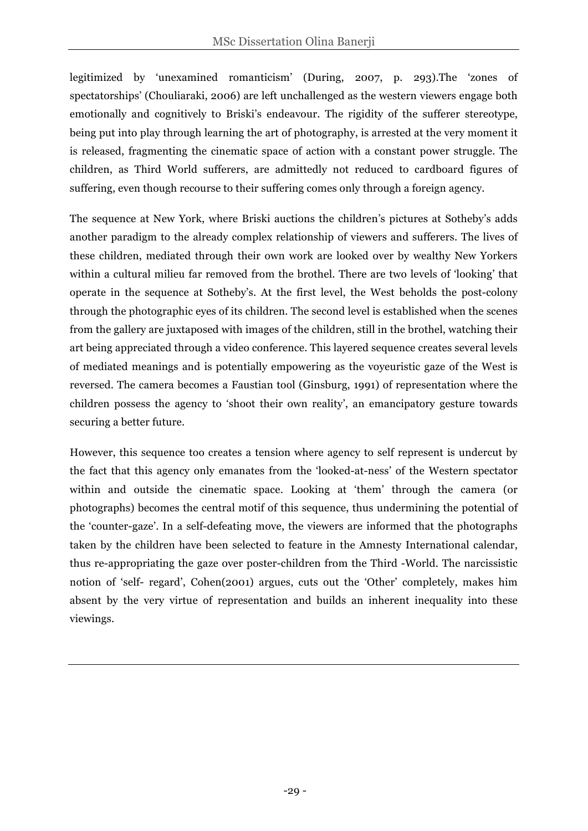legitimized by 'unexamined romanticism' (During, 2007, p. 293).The 'zones of spectatorships' (Chouliaraki, 2006) are left unchallenged as the western viewers engage both emotionally and cognitively to Briski's endeavour. The rigidity of the sufferer stereotype, being put into play through learning the art of photography, is arrested at the very moment it is released, fragmenting the cinematic space of action with a constant power struggle. The children, as Third World sufferers, are admittedly not reduced to cardboard figures of suffering, even though recourse to their suffering comes only through a foreign agency.

The sequence at New York, where Briski auctions the children's pictures at Sotheby's adds another paradigm to the already complex relationship of viewers and sufferers. The lives of these children, mediated through their own work are looked over by wealthy New Yorkers within a cultural milieu far removed from the brothel. There are two levels of 'looking' that operate in the sequence at Sotheby's. At the first level, the West beholds the post-colony through the photographic eyes of its children. The second level is established when the scenes from the gallery are juxtaposed with images of the children, still in the brothel, watching their art being appreciated through a video conference. This layered sequence creates several levels of mediated meanings and is potentially empowering as the voyeuristic gaze of the West is reversed. The camera becomes a Faustian tool (Ginsburg, 1991) of representation where the children possess the agency to 'shoot their own reality', an emancipatory gesture towards securing a better future.

However, this sequence too creates a tension where agency to self represent is undercut by the fact that this agency only emanates from the 'looked-at-ness' of the Western spectator within and outside the cinematic space. Looking at 'them' through the camera (or photographs) becomes the central motif of this sequence, thus undermining the potential of the 'counter-gaze'. In a self-defeating move, the viewers are informed that the photographs taken by the children have been selected to feature in the Amnesty International calendar, thus re-appropriating the gaze over poster-children from the Third -World. The narcissistic notion of 'self- regard', Cohen(2001) argues, cuts out the 'Other' completely, makes him absent by the very virtue of representation and builds an inherent inequality into these viewings.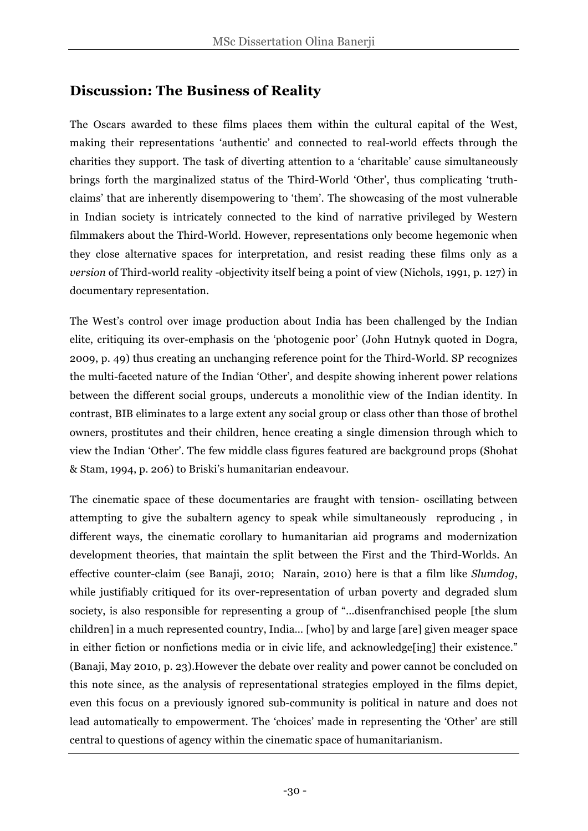### **Discussion: The Business of Reality**

The Oscars awarded to these films places them within the cultural capital of the West, making their representations 'authentic' and connected to real-world effects through the charities they support. The task of diverting attention to a 'charitable' cause simultaneously brings forth the marginalized status of the Third-World 'Other', thus complicating 'truthclaims' that are inherently disempowering to 'them'. The showcasing of the most vulnerable in Indian society is intricately connected to the kind of narrative privileged by Western filmmakers about the Third-World. However, representations only become hegemonic when they close alternative spaces for interpretation, and resist reading these films only as a *version* of Third-world reality -objectivity itself being a point of view (Nichols, 1991, p. 127) in documentary representation.

The West's control over image production about India has been challenged by the Indian elite, critiquing its over-emphasis on the 'photogenic poor' (John Hutnyk quoted in Dogra, 2009, p. 49) thus creating an unchanging reference point for the Third-World. SP recognizes the multi-faceted nature of the Indian 'Other', and despite showing inherent power relations between the different social groups, undercuts a monolithic view of the Indian identity. In contrast, BIB eliminates to a large extent any social group or class other than those of brothel owners, prostitutes and their children, hence creating a single dimension through which to view the Indian 'Other'. The few middle class figures featured are background props (Shohat & Stam, 1994, p. 206) to Briski's humanitarian endeavour.

The cinematic space of these documentaries are fraught with tension- oscillating between attempting to give the subaltern agency to speak while simultaneously reproducing , in different ways, the cinematic corollary to humanitarian aid programs and modernization development theories, that maintain the split between the First and the Third-Worlds. An effective counter-claim (see Banaji, 2010; Narain, 2010) here is that a film like *Slumdog*, while justifiably critiqued for its over-representation of urban poverty and degraded slum society, is also responsible for representing a group of "…disenfranchised people [the slum children] in a much represented country, India… [who] by and large [are] given meager space in either fiction or nonfictions media or in civic life, and acknowledge[ing] their existence." (Banaji, May 2010, p. 23).However the debate over reality and power cannot be concluded on this note since, as the analysis of representational strategies employed in the films depict, even this focus on a previously ignored sub-community is political in nature and does not lead automatically to empowerment. The 'choices' made in representing the 'Other' are still central to questions of agency within the cinematic space of humanitarianism.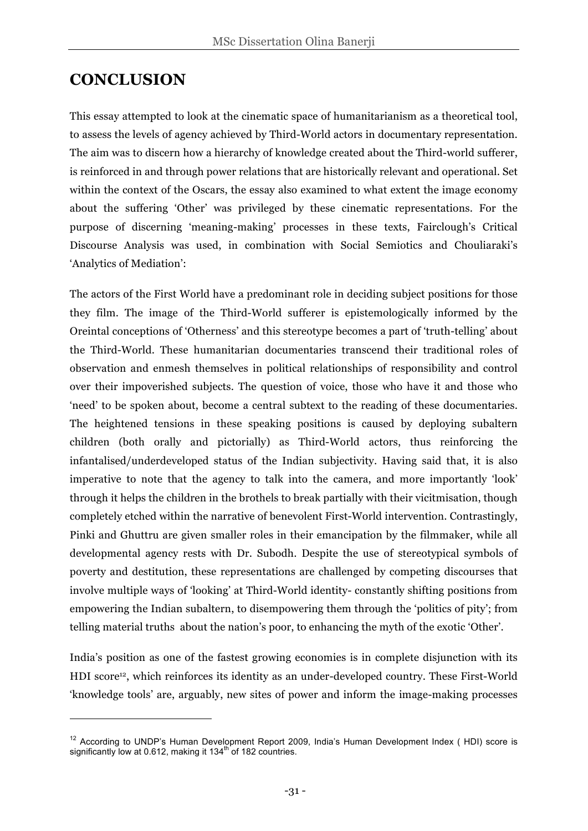### **CONCLUSION**

 $\overline{a}$ 

This essay attempted to look at the cinematic space of humanitarianism as a theoretical tool, to assess the levels of agency achieved by Third-World actors in documentary representation. The aim was to discern how a hierarchy of knowledge created about the Third-world sufferer, is reinforced in and through power relations that are historically relevant and operational. Set within the context of the Oscars, the essay also examined to what extent the image economy about the suffering 'Other' was privileged by these cinematic representations. For the purpose of discerning 'meaning-making' processes in these texts, Fairclough's Critical Discourse Analysis was used, in combination with Social Semiotics and Chouliaraki's 'Analytics of Mediation':

The actors of the First World have a predominant role in deciding subject positions for those they film. The image of the Third-World sufferer is epistemologically informed by the Oreintal conceptions of 'Otherness' and this stereotype becomes a part of 'truth-telling' about the Third-World. These humanitarian documentaries transcend their traditional roles of observation and enmesh themselves in political relationships of responsibility and control over their impoverished subjects. The question of voice, those who have it and those who 'need' to be spoken about, become a central subtext to the reading of these documentaries. The heightened tensions in these speaking positions is caused by deploying subaltern children (both orally and pictorially) as Third-World actors, thus reinforcing the infantalised/underdeveloped status of the Indian subjectivity. Having said that, it is also imperative to note that the agency to talk into the camera, and more importantly 'look' through it helps the children in the brothels to break partially with their vicitmisation, though completely etched within the narrative of benevolent First-World intervention. Contrastingly, Pinki and Ghuttru are given smaller roles in their emancipation by the filmmaker, while all developmental agency rests with Dr. Subodh. Despite the use of stereotypical symbols of poverty and destitution, these representations are challenged by competing discourses that involve multiple ways of 'looking' at Third-World identity- constantly shifting positions from empowering the Indian subaltern, to disempowering them through the 'politics of pity'; from telling material truths about the nation's poor, to enhancing the myth of the exotic 'Other'.

India's position as one of the fastest growing economies is in complete disjunction with its HDI score<sup>12</sup>, which reinforces its identity as an under-developed country. These First-World 'knowledge tools' are, arguably, new sites of power and inform the image-making processes

<sup>&</sup>lt;sup>12</sup> According to UNDP's Human Development Report 2009, India's Human Development Index ( HDI) score is significantly low at 0.612, making it  $134<sup>th</sup>$  of 182 countries.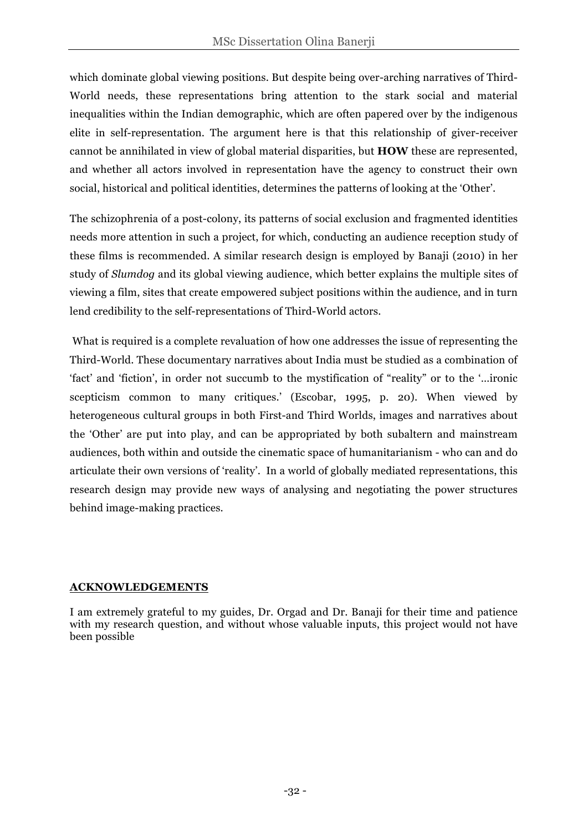which dominate global viewing positions. But despite being over-arching narratives of Third-World needs, these representations bring attention to the stark social and material inequalities within the Indian demographic, which are often papered over by the indigenous elite in self-representation. The argument here is that this relationship of giver-receiver cannot be annihilated in view of global material disparities, but **HOW** these are represented, and whether all actors involved in representation have the agency to construct their own social, historical and political identities, determines the patterns of looking at the 'Other'.

The schizophrenia of a post-colony, its patterns of social exclusion and fragmented identities needs more attention in such a project, for which, conducting an audience reception study of these films is recommended. A similar research design is employed by Banaji (2010) in her study of *Slumdog* and its global viewing audience, which better explains the multiple sites of viewing a film, sites that create empowered subject positions within the audience, and in turn lend credibility to the self-representations of Third-World actors.

What is required is a complete revaluation of how one addresses the issue of representing the Third-World. These documentary narratives about India must be studied as a combination of 'fact' and 'fiction', in order not succumb to the mystification of "reality" or to the '…ironic scepticism common to many critiques.' (Escobar, 1995, p. 20). When viewed by heterogeneous cultural groups in both First-and Third Worlds, images and narratives about the 'Other' are put into play, and can be appropriated by both subaltern and mainstream audiences, both within and outside the cinematic space of humanitarianism - who can and do articulate their own versions of 'reality'. In a world of globally mediated representations, this research design may provide new ways of analysing and negotiating the power structures behind image-making practices.

#### **ACKNOWLEDGEMENTS**

I am extremely grateful to my guides, Dr. Orgad and Dr. Banaji for their time and patience with my research question, and without whose valuable inputs, this project would not have been possible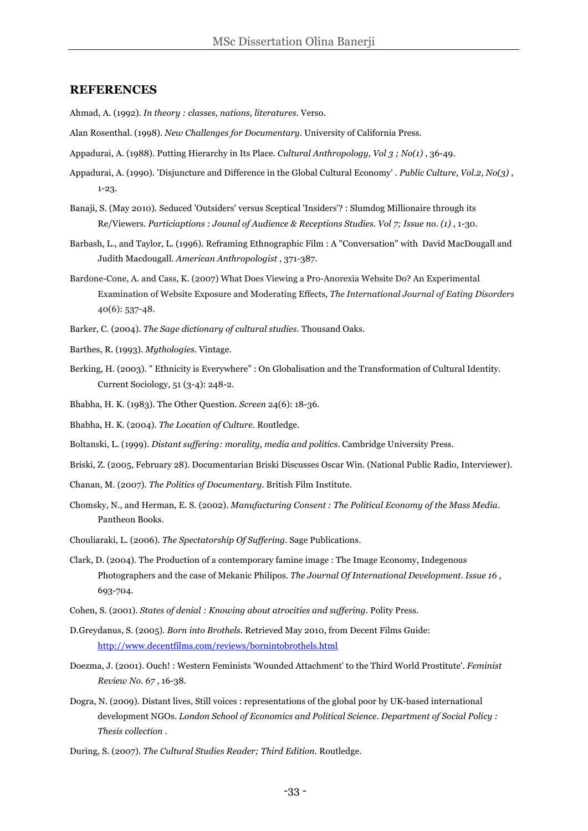#### **REFERENCES**

Ahmad, A. (1992). *In theory : classes, nations, literatures.* Verso.

- Alan Rosenthal. (1998). *New Challenges for Documentary.* University of California Press.
- Appadurai, A. (1988). Putting Hierarchy in Its Place. *Cultural Anthropology, Vol 3 ; No(1)* , 36-49.
- Appadurai, A. (1990). 'Disjuncture and Difference in the Global Cultural Economy' . *Public Culture, Vol.2, No(3)* , 1-23.
- Banaji, S. (May 2010). Seduced 'Outsiders' versus Sceptical 'Insiders'? : Slumdog Millionaire through its Re/Viewers. *Particiaptions : Jounal of Audience & Receptions Studies. Vol 7; Issue no. (1)* , 1-30.
- Barbash, L., and Taylor, L. (1996). Reframing Ethnographic Film : A "Conversation" with David MacDougall and Judith Macdougall. *American Anthropologist* , 371-387.
- Bardone-Cone, A. and Cass, K. (2007) What Does Viewing a Pro-Anorexia Website Do? An Experimental Examination of Website Exposure and Moderating Effects, *The International Journal of Eating Disorders*  40(6): 537-48.
- Barker, C. (2004). *The Sage dictionary of cultural studies.* Thousand Oaks.
- Barthes, R. (1993). *Mythologies.* Vintage.
- Berking, H. (2003). " Ethnicity is Everywhere" : On Globalisation and the Transformation of Cultural Identity. Current Sociology, 51 (3-4): 248-2.
- Bhabha, H. K. (1983). The Other Question. *Screen* 24(6): 18-36.
- Bhabha, H. K. (2004). *The Location of Culture.* Routledge.
- Boltanski, L. (1999). *Distant suffering: morality, media and politics.* Cambridge University Press.
- Briski, Z. (2005, February 28). Documentarian Briski Discusses Oscar Win. (National Public Radio, Interviewer).
- Chanan, M. (2007). *The Politics of Documentary.* British Film Institute.
- Chomsky, N., and Herman, E. S. (2002). *Manufacturing Consent : The Political Economy of the Mass Media.* Pantheon Books.
- Chouliaraki, L. (2006). *The Spectatorship Of Suffering.* Sage Publications.
- Clark, D. (2004). The Production of a contemporary famine image : The Image Economy, Indegenous Photographers and the case of Mekanic Philipos. *The Journal Of International Development. Issue 16* , 693-704.
- Cohen, S. (2001). *States of denial : Knowing about atrocities and suffering.* Polity Press.
- D.Greydanus, S. (2005). *Born into Brothels.* Retrieved May 2010, from Decent Films Guide: http://www.decentfilms.com/reviews/bornintobrothels.html
- Doezma, J. (2001). Ouch! : Western Feminists 'Wounded Attachment' to the Third World Prostitute'. *Feminist Review No. 67* , 16-38.
- Dogra, N. (2009). Distant lives, Still voices : representations of the global poor by UK-based international development NGOs. *London School of Economics and Political Science. Department of Social Policy : Thesis collection* .
- During, S. (2007). *The Cultural Studies Reader; Third Edition.* Routledge.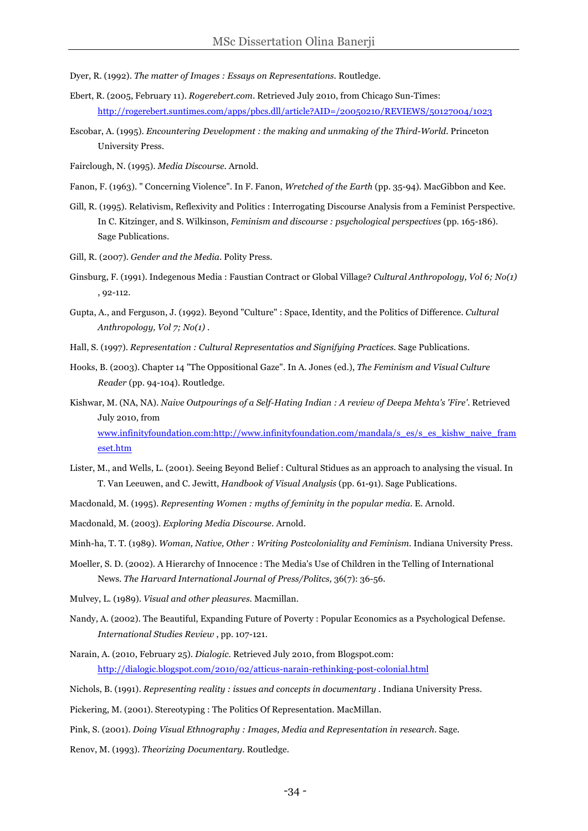- Dyer, R. (1992). *The matter of Images : Essays on Representations.* Routledge.
- Ebert, R. (2005, February 11). *Rogerebert.com.* Retrieved July 2010, from Chicago Sun-Times: http://rogerebert.suntimes.com/apps/pbcs.dll/article?AID=/20050210/REVIEWS/50127004/1023
- Escobar, A. (1995). *Encountering Development : the making and unmaking of the Third-World.* Princeton University Press.
- Fairclough, N. (1995). *Media Discourse.* Arnold.
- Fanon, F. (1963). " Concerning Violence". In F. Fanon, *Wretched of the Earth* (pp. 35-94). MacGibbon and Kee.
- Gill, R. (1995). Relativism, Reflexivity and Politics : Interrogating Discourse Analysis from a Feminist Perspective. In C. Kitzinger, and S. Wilkinson, *Feminism and discourse : psychological perspectives* (pp. 165-186). Sage Publications.
- Gill, R. (2007). *Gender and the Media.* Polity Press.
- Ginsburg, F. (1991). Indegenous Media : Faustian Contract or Global Village? *Cultural Anthropology, Vol 6; No(1)* , 92-112.
- Gupta, A., and Ferguson, J. (1992). Beyond "Culture" : Space, Identity, and the Politics of Difference. *Cultural Anthropology, Vol 7; No(1)* .
- Hall, S. (1997). *Representation : Cultural Representatios and Signifying Practices.* Sage Publications.
- Hooks, B. (2003). Chapter 14 "The Oppositional Gaze". In A. Jones (ed.), *The Feminism and Visual Culture Reader* (pp. 94-104). Routledge.
- Kishwar, M. (NA, NA). *Naive Outpourings of a Self-Hating Indian : A review of Deepa Mehta's 'Fire'.* Retrieved July 2010, from www.infinityfoundation.com:http://www.infinityfoundation.com/mandala/s\_es/s\_es\_kishw\_naive\_fram eset.htm
- Lister, M., and Wells, L. (2001). Seeing Beyond Belief : Cultural Stidues as an approach to analysing the visual. In T. Van Leeuwen, and C. Jewitt, *Handbook of Visual Analysis* (pp. 61-91). Sage Publications.
- Macdonald, M. (1995). *Representing Women : myths of feminity in the popular media.* E. Arnold.
- Macdonald, M. (2003). *Exploring Media Discourse.* Arnold.

Minh-ha, T. T. (1989). *Woman, Native, Other : Writing Postcoloniality and Feminism.* Indiana University Press.

- Moeller, S. D. (2002). A Hierarchy of Innocence : The Media's Use of Children in the Telling of International News. *The Harvard International Journal of Press/Politcs,* 36(7): 36-56.
- Mulvey, L. (1989). *Visual and other pleasures.* Macmillan.
- Nandy, A. (2002). The Beautiful, Expanding Future of Poverty : Popular Economics as a Psychological Defense. *International Studies Review* , pp. 107-121.
- Narain, A. (2010, February 25). *Dialogic.* Retrieved July 2010, from Blogspot.com: http://dialogic.blogspot.com/2010/02/atticus-narain-rethinking-post-colonial.html
- Nichols, B. (1991). *Representing reality : issues and concepts in documentary .* Indiana University Press.
- Pickering, M. (2001). Stereotyping : The Politics Of Representation. MacMillan.
- Pink, S. (2001). *Doing Visual Ethnography : Images, Media and Representation in research.* Sage.
- Renov, M. (1993). *Theorizing Documentary.* Routledge.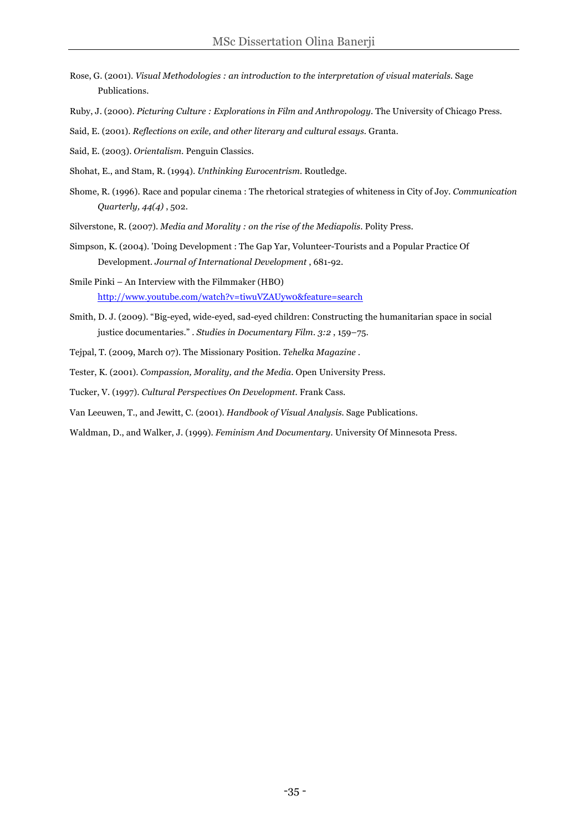- Rose, G. (2001). *Visual Methodologies : an introduction to the interpretation of visual materials.* Sage Publications.
- Ruby, J. (2000). *Picturing Culture : Explorations in Film and Anthropology.* The University of Chicago Press.
- Said, E. (2001). *Reflections on exile, and other literary and cultural essays.* Granta.
- Said, E. (2003). *Orientalism.* Penguin Classics.
- Shohat, E., and Stam, R. (1994). *Unthinking Eurocentrism.* Routledge.
- Shome, R. (1996). Race and popular cinema : The rhetorical strategies of whiteness in City of Joy. *Communication Quarterly, 44(4)* , 502.
- Silverstone, R. (2007). *Media and Morality : on the rise of the Mediapolis*. Polity Press.
- Simpson, K. (2004). 'Doing Development : The Gap Yar, Volunteer-Tourists and a Popular Practice Of Development. *Journal of International Development* , 681-92.
- Smile Pinki An Interview with the Filmmaker (HBO) http://www.youtube.com/watch?v=tiwuVZAUyw0&feature=search
- Smith, D. J. (2009). "Big-eyed, wide-eyed, sad-eyed children: Constructing the humanitarian space in social justice documentaries." . *Studies in Documentary Film. 3:2* , 159–75.
- Tejpal, T. (2009, March 07). The Missionary Position. *Tehelka Magazine* .
- Tester, K. (2001). *Compassion, Morality, and the Media*. Open University Press.
- Tucker, V. (1997). *Cultural Perspectives On Development.* Frank Cass.
- Van Leeuwen, T., and Jewitt, C. (2001). *Handbook of Visual Analysis.* Sage Publications.
- Waldman, D., and Walker, J. (1999). *Feminism And Documentary.* University Of Minnesota Press.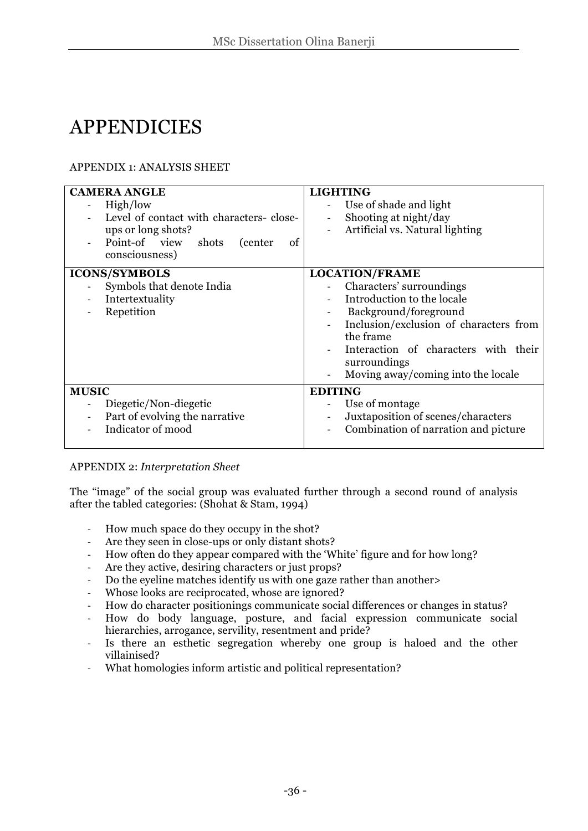## **APPENDICIES**

#### APPENDIX 1: ANALYSIS SHEET

| <b>CAMERA ANGLE</b><br>High/low<br>Level of contact with characters-close-<br>ups or long shots?<br>Point-of view shots (center<br>οf<br>consciousness) | <b>LIGHTING</b><br>Use of shade and light<br>Shooting at night/day<br>Artificial vs. Natural lighting                                                                                                                                                         |
|---------------------------------------------------------------------------------------------------------------------------------------------------------|---------------------------------------------------------------------------------------------------------------------------------------------------------------------------------------------------------------------------------------------------------------|
| <b>ICONS/SYMBOLS</b><br>Symbols that denote India<br>Intertextuality<br>Repetition                                                                      | <b>LOCATION/FRAME</b><br>Characters' surroundings<br>Introduction to the locale<br>Background/foreground<br>Inclusion/exclusion of characters from<br>the frame<br>Interaction of characters with their<br>surroundings<br>Moving away/coming into the locale |
| <b>MUSIC</b><br>Diegetic/Non-diegetic<br>Part of evolving the narrative<br>Indicator of mood                                                            | <b>EDITING</b><br>Use of montage<br>Juxtaposition of scenes/characters<br>Combination of narration and picture                                                                                                                                                |

#### APPENDIX 2: *Interpretation Sheet*

The "image" of the social group was evaluated further through a second round of analysis after the tabled categories: (Shohat & Stam, 1994)

- ! How much space do they occupy in the shot?
- Are they seen in close-ups or only distant shots?
- ! How often do they appear compared with the 'White' figure and for how long?
- ! Are they active, desiring characters or just props?
- ! Do the eyeline matches identify us with one gaze rather than another>
- Whose looks are reciprocated, whose are ignored?
- ! How do character positionings communicate social differences or changes in status?
- ! How do body language, posture, and facial expression communicate social hierarchies, arrogance, servility, resentment and pride?
- ! Is there an esthetic segregation whereby one group is haloed and the other villainised?
- ! What homologies inform artistic and political representation?